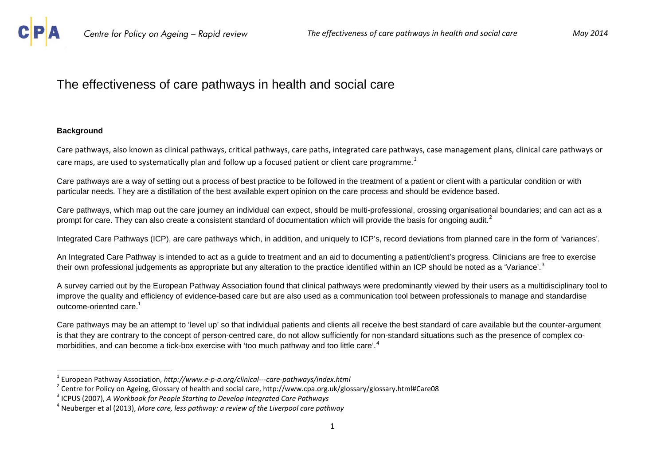

# The effectiveness of care pathways in health and social care

#### **Background**

<span id="page-0-3"></span>Care pathways, also known as clinical pathways, critical pathways, care paths, integrated care pathways, case management plans, clinical care pathways or care maps, are used to systematically plan and follow up a focused patient or client care programme.<sup>[1](#page-0-0)</sup>

Care pathways are a way of setting out a process of best practice to be followed in the treatment of a patient or client with a particular condition or with particular needs. They are a distillation of the best available expert opinion on the care process and should be evidence based.

Care pathways, which map out the care journey an individual can expect, should be multi-professional, crossing organisational boundaries; and can act as a prompt for care. They can also create a consistent standard of documentation which will provide the basis for ongoing audit.<sup>[2](#page-0-1)</sup>

Integrated Care Pathways (ICP), are care pathways which, in addition, and uniquely to ICP's, record deviations from planned care in the form of 'variances'.

An Integrated Care Pathway is intended to act as a guide to treatment and an aid to documenting a patient/client's progress. Clinicians are free to exercise their own professional judgements as appropriate but any alteration to the practice identified within an ICP should be noted as a 'Variance'.<sup>[3](#page-0-2)</sup>

A survey carried out by the European Pathway Association found that clinical pathways were predominantly viewed by their users as a multidisciplinary tool to improve the quality and efficiency of evidence-based care but are also used as a communication tool between professionals to manage and standardise outcome-oriented care.[1](#page-0-3)

<span id="page-0-5"></span>Care pathways may be an attempt to 'level up' so that individual patients and clients all receive the best standard of care available but the counter-argument is that they are contrary to the concept of person-centred care, do not allow sufficiently for non-standard situations such as the presence of complex co-morbidities, and can become a tick-box exercise with 'too much pathway and too little care'.<sup>[4](#page-0-4)</sup>

<span id="page-0-0"></span><sup>1</sup> European Pathway Association, *http://www.e‐p‐a.org/clinical‐‐‐care‐pathways/index.html*

<span id="page-0-1"></span><sup>&</sup>lt;sup>2</sup> Centre for Policy on Ageing, Glossary of health and social care, http://www.cpa.org.uk/glossary/glossary.html#Care08

<span id="page-0-2"></span><sup>3</sup> ICPUS (2007), *A Workbook for People Starting to Develop Integrated Care Pathways*

<span id="page-0-4"></span><sup>4</sup> Neuberger et al (2013), *More care, less pathway: <sup>a</sup> review of the Liverpool care pathway*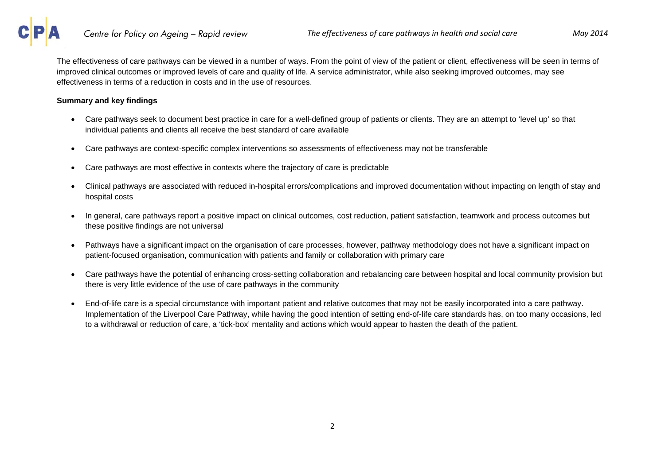The effectiveness of care pathways can be viewed in a number of ways. From the point of view of the patient or client, effectiveness will be seen in terms of improved clinical outcomes or improved levels of care and quality of life. A service administrator, while also seeking improved outcomes, may see effectiveness in terms of a reduction in costs and in the use of resources.

#### **Summary and key findings**

- Care pathways seek to document best practice in care for a well-defined group of patients or clients. They are an attempt to 'level up' so that individual patients and clients all receive the best standard of care available
- Care pathways are context-specific complex interventions so assessments of effectiveness may not be transferable
- Care pathways are most effective in contexts where the trajectory of care is predictable
- Clinical pathways are associated with reduced in-hospital errors/complications and improved documentation without impacting on length of stay and hospital costs
- In general, care pathways report a positive impact on clinical outcomes, cost reduction, patient satisfaction, teamwork and process outcomes but these positive findings are not universal
- Pathways have a significant impact on the organisation of care processes, however, pathway methodology does not have a significant impact on patient-focused organisation, communication with patients and family or collaboration with primary care
- Care pathways have the potential of enhancing cross-setting collaboration and rebalancing care between hospital and local community provision but there is very little evidence of the use of care pathways in the community
- End-of-life care is a special circumstance with important patient and relative outcomes that may not be easily incorporated into a care pathway. Implementation of the Liverpool Care Pathway, while having the good intention of setting end-of-life care standards has, on too many occasions, led to a withdrawal or reduction of care, a 'tick-box' mentality and actions which would appear to hasten the death of the patient.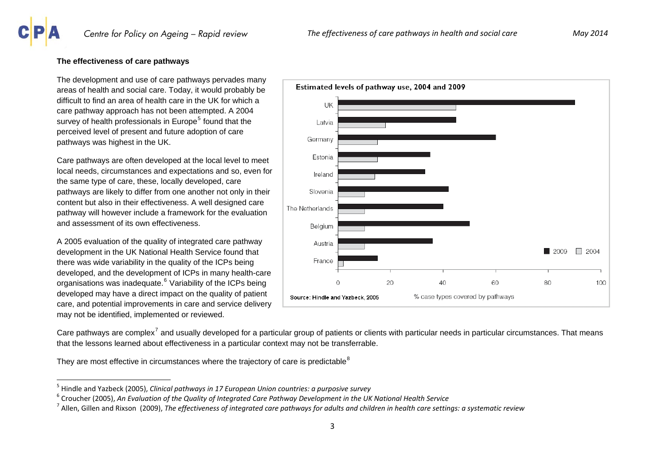#### **The effectiveness of care pathways**

The development and use of care pathways pervades many areas of health and social care. Today, it would probably be difficult to find an area of health care in the UK for which a care pathway approach has not been attempted. A 2004 survey of health professionals in Europe<sup>[5](#page-2-0)</sup> found that the perceived level of present and future adoption of care pathways was highest in the UK.

Care pathways are often developed at the local level to meet local needs, circumstances and expectations and so, even for the same type of care, these, locally developed, care pathways are likely to differ from one another not only in their content but also in their effectiveness. A well designed care pathway will however include a framework for the evaluation and assessment of its own effectiveness.

A 2005 evaluation of the quality of integrated care pathway development in the UK National Health Service found that there was wide variability in the quality of the ICPs being developed, and the development of ICPs in many health-care organisations was inadequate.<sup>[6](#page-2-1)</sup> Variability of the ICPs being developed may have a direct impact on the quality of patient care, and potential improvements in care and service delivery may not be identified, implemented or reviewed.



<span id="page-2-3"></span>Care pathways are complex<sup>[7](#page-2-2)</sup> and usually developed for a particular group of patients or clients with particular needs in particular circumstances. That means that the lessons learned about effectiveness in a particular context may not be transferrable.

<span id="page-2-4"></span>They are most effective in circumstances where the trajectory of care is predictable $8$ 

<span id="page-2-1"></span><span id="page-2-0"></span><sup>5</sup> Hindle and Yazbeck (2005), *Clinical pathways in 17 European Union countries: <sup>a</sup> purposive survey*

 $^6$  Croucher (2005), An Evaluation of the Quality of Integrated Care Pathway Development in the UK National Health Service

<span id="page-2-2"></span> $^7$  Allen, Gillen and Rixson (2009), The effectiveness of integrated care pathways for adults and children in health care settings: a systematic review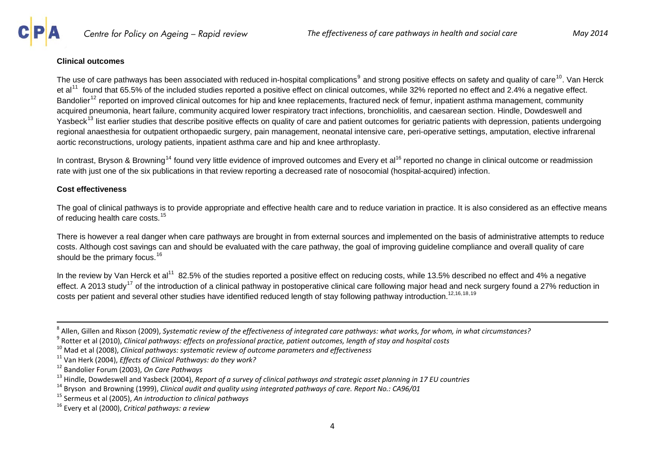

#### **Clinical outcomes**

<span id="page-3-13"></span><span id="page-3-10"></span><span id="page-3-9"></span>The use of care pathways has been associated with reduced in-hospital complications<sup>[9](#page-3-0)</sup> and strong positive effects on safety and quality of care<sup>[10](#page-3-1)</sup>. Van Herck et al<sup>[11](#page-3-2)</sup> found that 65.5% of the included studies reported a positive effect on clinical outcomes, while 32% reported no effect and 2.4% a negative effect. Bandolier<sup>[12](#page-3-3)</sup> reported on improved clinical outcomes for hip and knee replacements, fractured neck of femur, inpatient asthma management, community acquired pneumonia, heart failure, community acquired lower respiratory tract infections, bronchiolitis, and caesarean section. Hindle, Dowdeswell and Yasbeck<sup>[13](#page-3-4)</sup> list earlier studies that describe positive effects on quality of care and patient outcomes for geriatric patients with depression, patients undergoing regional anaesthesia for outpatient orthopaedic surgery, pain management, neonatal intensive care, peri-operative settings, amputation, elective infrarenal aortic reconstructions, urology patients, inpatient asthma care and hip and knee arthroplasty.

<span id="page-3-12"></span>In contrast, Bryson & Browning<sup>[14](#page-3-5)</sup> found very little evidence of improved outcomes and Every et al<sup>[16](#page-3-6)</sup> reported no change in clinical outcome or readmission rate with just one of the six publications in that review reporting a decreased rate of nosocomial (hospital-acquired) infection.

#### **Cost effectiveness**

The goal of clinical pathways is to provide appropriate and effective health care and to reduce variation in practice. It is also considered as an effective means of reducing health care costs.<sup>[15](#page-3-7)</sup>

There is however a real danger when care pathways are brought in from external sources and implemented on the basis of administrative attempts to reduce costs. Although cost savings can and should be evaluated with the care pathway, the goal of improving guideline compliance and overall quality of care should be the primary focus.  $16$ 

<span id="page-3-11"></span><span id="page-3-6"></span>In the review by Van Herck et al<sup>[11](#page-3-9)</sup> 82.5% of the studies reported a positive effect on reducing costs, while 13.5% described no effect and 4% a negative effect. A 2013 study<sup>[17](#page-3-0)</sup> of the introduction of a clinical pathway in postoperative clinical care following major head and neck surgery found a 27% reduction in costs per patient and several other studies have identified reduced length of stay following pathway introduction.<sup>[12](#page-3-10),[16](#page-3-6),[18](#page-3-1),19</sup>

 $^8$  Allen, Gillen and Rixson (2009), Systematic review of the effectiveness of integrated care pathways: what works, for whom, in what circumstances?

<span id="page-3-0"></span> $^9$  Rotter et al (2010), Clinical pathways: effects on professional practice, patient outcomes, length of stay and hospital costs

<span id="page-3-1"></span><sup>10</sup> Mad et al (2008), *Clinical pathways: systematic review of outcome parameters and effectiveness*

<span id="page-3-2"></span><sup>11</sup> Van Herk (2004), *Effects of Clinical Pathways: do they work?*

<span id="page-3-3"></span><sup>12</sup> Bandolier Forum (2003), *On Care Pathways*

<span id="page-3-4"></span><sup>&</sup>lt;sup>13</sup> Hindle, Dowdeswell and Yasbeck (2004), Report of a survey of clinical pathways and strategic asset planning in 17 EU countries

<span id="page-3-5"></span><sup>14</sup> Bryson and Browning (1999), *Clinical audit and quality using integrated pathways of care. Report No.: CA96/01*

<span id="page-3-7"></span><sup>15</sup> Sermeus et al (2005), *An introduction to clinical pathways*

<span id="page-3-8"></span><sup>16</sup> Every et al (2000), *Critical pathways: <sup>a</sup> review*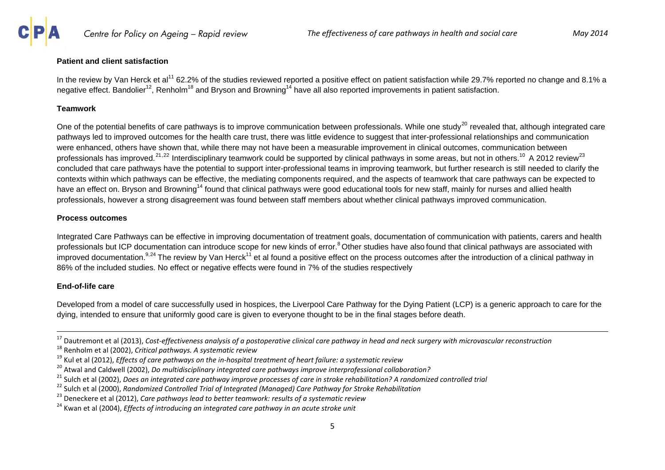

#### **Patient and client satisfaction**

In the review by Van Herck et al<sup>[11](#page-3-9)</sup> 62.2% of the studies reviewed reported a positive effect on patient satisfaction while 29.7% reported no change and 8.1% a negative effect. Bandolier<sup>[12](#page-3-10)</sup>, Renholm<sup>[18](#page-3-11)</sup> and Bryson and Browning<sup>[14](#page-3-12)</sup> have all also reported improvements in patient satisfaction.

#### **Teamwork**

One of the potential benefits of care pathways is to improve communication between professionals. While one study<sup>[20](#page-4-0)</sup> revealed that, although integrated care pathways led to improved outcomes for the health care trust, there was little evidence to suggest that inter-professional relationships and communication were enhanced, others have shown that, while there may not have been a measurable improvement in clinical outcomes, communication between professionals has improved.<sup>[21,](#page-4-1)22</sup> [Interdisciplinary teamwork could be supported by clinical pathways in some areas, but not in others.](#page-4-2)<sup>10</sup> [A](#page-3-13) [2012](#page-3-13) review<sup>23</sup> concluded that care pathways have the potential to support inter-professional teams in improving teamwork, but further research is still needed to clarify the contexts within which pathways can be effective, the mediating components required, and the aspects of teamwork that care pathways can be expected to have an effect on. Bryson and Browning<sup>[14](#page-3-12)</sup> found that clinical pathways were good educational tools for new staff, mainly for nurses and allied health professionals, however a strong disagreement was found between staff members about whether clinical pathways improved communication.

#### **Process outcomes**

Integrated Care Pathways can be effective in improving documentation of treatment goals, documentation of communication with patients, carers and health professionals but ICP documentation can introduce scope for new kinds of error.<sup>[8](#page-2-4)</sup> Other studies have also found that clinical pathways are associated with improved documentation.<sup>[9](#page-3-13),[24](#page-4-3)</sup> The review by Van Herck<sup>[11](#page-3-9)</sup> et al found a positive effect on the process outcomes after the introduction of a clinical pathway in 86% of the included studies. No effect or negative effects were found in 7% of the studies respectively

#### **End-of-life care**

Developed from a model of care successfully used in hospices, the Liverpool Care Pathway for the Dying Patient (LCP) is a generic approach to care for the dying, intended to ensure that uniformly good care is given to everyone thought to be in the final stages before death.

 $^{17}$  Dautremont et al (2013), Cost-effectiveness analysis of a postoperative clinical care pathway in head and neck surgery with microvascular reconstruction

18 Renholm et al (2002), *Critical pathways. A systematic review*

<sup>19</sup> Kul et al (2012), *Effects of care pathways on the in‐hospital treatment of heart failure: <sup>a</sup> systematic review*

<span id="page-4-0"></span><sup>20</sup> Atwal and Caldwell (2002), *Do multidisciplinary integrated care pathways improve interprofessional collaboration?*

<span id="page-4-1"></span><sup>&</sup>lt;sup>21</sup> Sulch et al (2002), Does an integrated care pathway improve processes of care in stroke rehabilitation? A randomized controlled trial

<span id="page-4-2"></span><sup>22</sup> Sulch et al (2000), *Randomized Controlled Trial of Integrated (Managed) Care Pathway for Stroke Rehabilitation*

<span id="page-4-3"></span><sup>23</sup> Deneckere et al (2012), *Care pathways lead to better teamwork: results of <sup>a</sup> systematic review*

<sup>24</sup> Kwan et al (2004), *Effects of introducing an integrated care pathway in an acute stroke unit*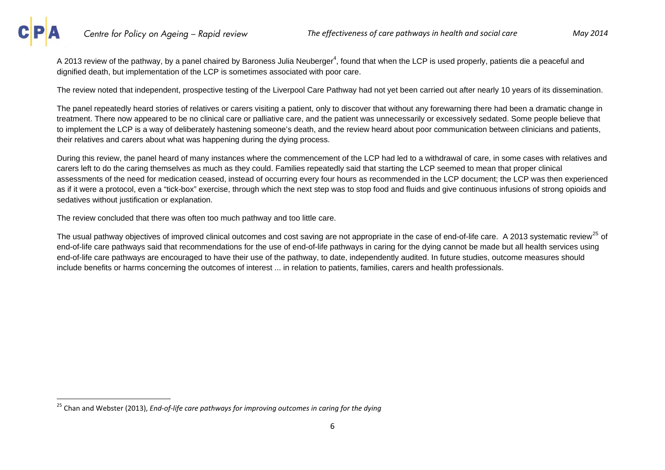

A 2013 review of the pathway, by a panel chaired by Baroness Julia Neuberger<sup>[4](#page-0-5)</sup>, found that when the LCP is used properly, patients die a peaceful and dignified death, but implementation of the LCP is sometimes associated with poor care.

The review noted that independent, prospective testing of the Liverpool Care Pathway had not yet been carried out after nearly 10 years of its dissemination.

The panel repeatedly heard stories of relatives or carers visiting a patient, only to discover that without any forewarning there had been a dramatic change in treatment. There now appeared to be no clinical care or palliative care, and the patient was unnecessarily or excessively sedated. Some people believe that to implement the LCP is a way of deliberately hastening someone's death, and the review heard about poor communication between clinicians and patients, their relatives and carers about what was happening during the dying process.

During this review, the panel heard of many instances where the commencement of the LCP had led to a withdrawal of care, in some cases with relatives and carers left to do the caring themselves as much as they could. Families repeatedly said that starting the LCP seemed to mean that proper clinical assessments of the need for medication ceased, instead of occurring every four hours as recommended in the LCP document; the LCP was then experienced as if it were a protocol, even a "tick-box" exercise, through which the next step was to stop food and fluids and give continuous infusions of strong opioids and sedatives without justification or explanation.

The review concluded that there was often too much pathway and too little care.

The usual pathway objectives of improved clinical outcomes and cost saving are not appropriate in the case of end-of-life care. A 2013 systematic review<sup>[25](#page-5-0)</sup> of end-of-life care pathways said that recommendations for the use of end-of-life pathways in caring for the dying cannot be made but all health services using end-of-life care pathways are encouraged to have their use of the pathway, to date, independently audited. In future studies, outcome measures should include benefits or harms concerning the outcomes of interest ... in relation to patients, families, carers and health professionals.

<span id="page-5-0"></span><sup>25</sup> Chan and Webster (2013), *End‐of‐life care pathways for improving outcomes in caring for the dying*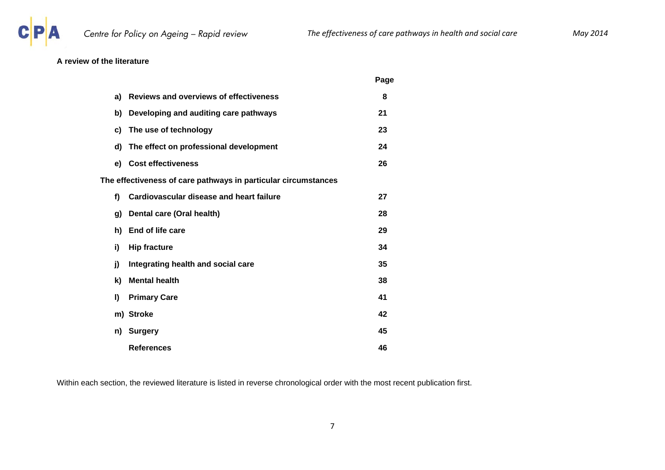P

#### **A review of the literature**

|    |                                                                | Page |
|----|----------------------------------------------------------------|------|
| a) | Reviews and overviews of effectiveness                         | 8    |
| b) | Developing and auditing care pathways                          | 21   |
| c) | The use of technology                                          | 23   |
| d) | The effect on professional development                         | 24   |
| e) | <b>Cost effectiveness</b>                                      | 26   |
|    | The effectiveness of care pathways in particular circumstances |      |
| f) | <b>Cardiovascular disease and heart failure</b>                | 27   |
| g) | Dental care (Oral health)                                      | 28   |
| h) | End of life care                                               | 29   |
| i) | <b>Hip fracture</b>                                            | 34   |
| j) | Integrating health and social care                             | 35   |
| k) | <b>Mental health</b>                                           | 38   |
| I) | <b>Primary Care</b>                                            | 41   |
|    | m) Stroke                                                      | 42   |
|    | n) Surgery                                                     | 45   |
|    | <b>References</b>                                              | 46   |

Within each section, the reviewed literature is listed in reverse chronological order with the most recent publication first.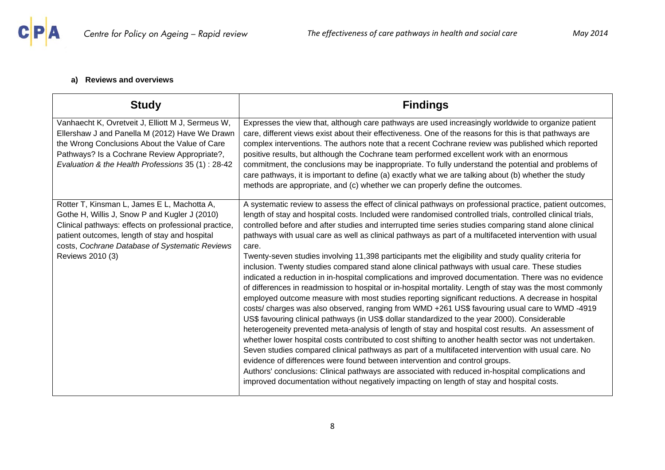

## **a) Reviews and overviews**

<span id="page-7-0"></span>

| <b>Study</b>                                                                                                                                                                                                                                                                | <b>Findings</b>                                                                                                                                                                                                                                                                                                                                                                                                                                                                                                                                                                                                                                                                                                                                                                                                                                                                                                                                                                                                                                                                                                                                                                                                                                                                                                                                                                                                                                                                                                                                                                                                                                                                                                                                                                                          |
|-----------------------------------------------------------------------------------------------------------------------------------------------------------------------------------------------------------------------------------------------------------------------------|----------------------------------------------------------------------------------------------------------------------------------------------------------------------------------------------------------------------------------------------------------------------------------------------------------------------------------------------------------------------------------------------------------------------------------------------------------------------------------------------------------------------------------------------------------------------------------------------------------------------------------------------------------------------------------------------------------------------------------------------------------------------------------------------------------------------------------------------------------------------------------------------------------------------------------------------------------------------------------------------------------------------------------------------------------------------------------------------------------------------------------------------------------------------------------------------------------------------------------------------------------------------------------------------------------------------------------------------------------------------------------------------------------------------------------------------------------------------------------------------------------------------------------------------------------------------------------------------------------------------------------------------------------------------------------------------------------------------------------------------------------------------------------------------------------|
| Vanhaecht K, Ovretveit J, Elliott M J, Sermeus W,<br>Ellershaw J and Panella M (2012) Have We Drawn<br>the Wrong Conclusions About the Value of Care<br>Pathways? Is a Cochrane Review Appropriate?,<br>Evaluation & the Health Professions 35 (1): 28-42                   | Expresses the view that, although care pathways are used increasingly worldwide to organize patient<br>care, different views exist about their effectiveness. One of the reasons for this is that pathways are<br>complex interventions. The authors note that a recent Cochrane review was published which reported<br>positive results, but although the Cochrane team performed excellent work with an enormous<br>commitment, the conclusions may be inappropriate. To fully understand the potential and problems of<br>care pathways, it is important to define (a) exactly what we are talking about (b) whether the study<br>methods are appropriate, and (c) whether we can properly define the outcomes.                                                                                                                                                                                                                                                                                                                                                                                                                                                                                                                                                                                                                                                                                                                                                                                                                                                                                                                                                                                                                                                                                       |
| Rotter T, Kinsman L, James E L, Machotta A,<br>Gothe H, Willis J, Snow P and Kugler J (2010)<br>Clinical pathways: effects on professional practice,<br>patient outcomes, length of stay and hospital<br>costs, Cochrane Database of Systematic Reviews<br>Reviews 2010 (3) | A systematic review to assess the effect of clinical pathways on professional practice, patient outcomes,<br>length of stay and hospital costs. Included were randomised controlled trials, controlled clinical trials,<br>controlled before and after studies and interrupted time series studies comparing stand alone clinical<br>pathways with usual care as well as clinical pathways as part of a multifaceted intervention with usual<br>care.<br>Twenty-seven studies involving 11,398 participants met the eligibility and study quality criteria for<br>inclusion. Twenty studies compared stand alone clinical pathways with usual care. These studies<br>indicated a reduction in in-hospital complications and improved documentation. There was no evidence<br>of differences in readmission to hospital or in-hospital mortality. Length of stay was the most commonly<br>employed outcome measure with most studies reporting significant reductions. A decrease in hospital<br>costs/ charges was also observed, ranging from WMD +261 US\$ favouring usual care to WMD -4919<br>US\$ favouring clinical pathways (in US\$ dollar standardized to the year 2000). Considerable<br>heterogeneity prevented meta-analysis of length of stay and hospital cost results. An assessment of<br>whether lower hospital costs contributed to cost shifting to another health sector was not undertaken.<br>Seven studies compared clinical pathways as part of a multifaceted intervention with usual care. No<br>evidence of differences were found between intervention and control groups.<br>Authors' conclusions: Clinical pathways are associated with reduced in-hospital complications and<br>improved documentation without negatively impacting on length of stay and hospital costs. |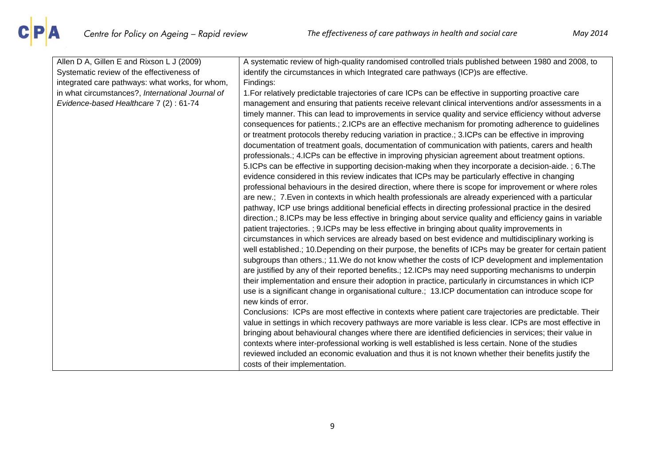| Allen D A, Gillen E and Rixson L J (2009)        | A systematic review of high-quality randomised controlled trials published between 1980 and 2008, to        |
|--------------------------------------------------|-------------------------------------------------------------------------------------------------------------|
| Systematic review of the effectiveness of        | identify the circumstances in which Integrated care pathways (ICP)s are effective.                          |
| integrated care pathways: what works, for whom,  | Findings:                                                                                                   |
| in what circumstances?, International Journal of | 1. For relatively predictable trajectories of care ICPs can be effective in supporting proactive care       |
| Evidence-based Healthcare 7 (2): 61-74           | management and ensuring that patients receive relevant clinical interventions and/or assessments in a       |
|                                                  | timely manner. This can lead to improvements in service quality and service efficiency without adverse      |
|                                                  | consequences for patients.; 2.ICPs are an effective mechanism for promoting adherence to guidelines         |
|                                                  | or treatment protocols thereby reducing variation in practice.; 3.ICPs can be effective in improving        |
|                                                  | documentation of treatment goals, documentation of communication with patients, carers and health           |
|                                                  | professionals.; 4.ICPs can be effective in improving physician agreement about treatment options.           |
|                                                  | 5.ICPs can be effective in supporting decision-making when they incorporate a decision-aide.; 6.The         |
|                                                  | evidence considered in this review indicates that ICPs may be particularly effective in changing            |
|                                                  | professional behaviours in the desired direction, where there is scope for improvement or where roles       |
|                                                  | are new.; 7. Even in contexts in which health professionals are already experienced with a particular       |
|                                                  | pathway, ICP use brings additional beneficial effects in directing professional practice in the desired     |
|                                                  | direction.; 8.ICPs may be less effective in bringing about service quality and efficiency gains in variable |
|                                                  | patient trajectories.; 9.ICPs may be less effective in bringing about quality improvements in               |
|                                                  | circumstances in which services are already based on best evidence and multidisciplinary working is         |
|                                                  | well established.; 10. Depending on their purpose, the benefits of ICPs may be greater for certain patient  |
|                                                  | subgroups than others.; 11. We do not know whether the costs of ICP development and implementation          |
|                                                  | are justified by any of their reported benefits.; 12.ICPs may need supporting mechanisms to underpin        |
|                                                  | their implementation and ensure their adoption in practice, particularly in circumstances in which ICP      |
|                                                  | use is a significant change in organisational culture.; 13.ICP documentation can introduce scope for        |
|                                                  | new kinds of error.                                                                                         |
|                                                  | Conclusions: ICPs are most effective in contexts where patient care trajectories are predictable. Their     |
|                                                  | value in settings in which recovery pathways are more variable is less clear. ICPs are most effective in    |
|                                                  | bringing about behavioural changes where there are identified deficiencies in services; their value in      |
|                                                  | contexts where inter-professional working is well established is less certain. None of the studies          |
|                                                  | reviewed included an economic evaluation and thus it is not known whether their benefits justify the        |
|                                                  | costs of their implementation.                                                                              |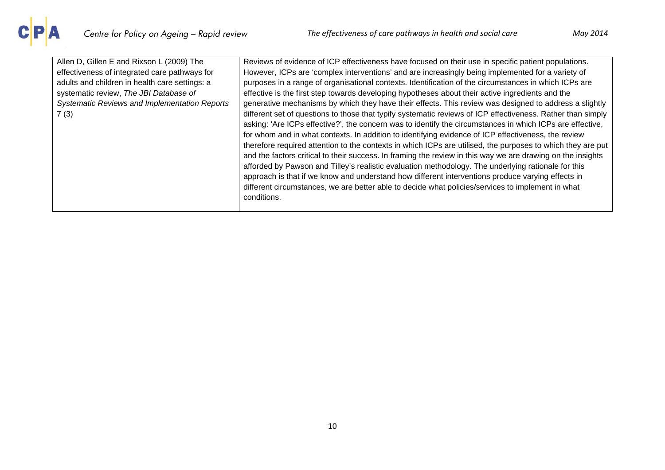| Allen D, Gillen E and Rixson L (2009) The            | Reviews of evidence of ICP effectiveness have focused on their use in specific patient populations.         |
|------------------------------------------------------|-------------------------------------------------------------------------------------------------------------|
| effectiveness of integrated care pathways for        | However, ICPs are 'complex interventions' and are increasingly being implemented for a variety of           |
| adults and children in health care settings: a       | purposes in a range of organisational contexts. Identification of the circumstances in which ICPs are       |
| systematic review, The JBI Database of               | effective is the first step towards developing hypotheses about their active ingredients and the            |
| <b>Systematic Reviews and Implementation Reports</b> | generative mechanisms by which they have their effects. This review was designed to address a slightly      |
| 7(3)                                                 | different set of questions to those that typify systematic reviews of ICP effectiveness. Rather than simply |
|                                                      | asking: 'Are ICPs effective?', the concern was to identify the circumstances in which ICPs are effective,   |
|                                                      | for whom and in what contexts. In addition to identifying evidence of ICP effectiveness, the review         |
|                                                      | therefore required attention to the contexts in which ICPs are utilised, the purposes to which they are put |
|                                                      | and the factors critical to their success. In framing the review in this way we are drawing on the insights |
|                                                      | afforded by Pawson and Tilley's realistic evaluation methodology. The underlying rationale for this         |
|                                                      | approach is that if we know and understand how different interventions produce varying effects in           |
|                                                      | different circumstances, we are better able to decide what policies/services to implement in what           |
|                                                      | conditions.                                                                                                 |
|                                                      |                                                                                                             |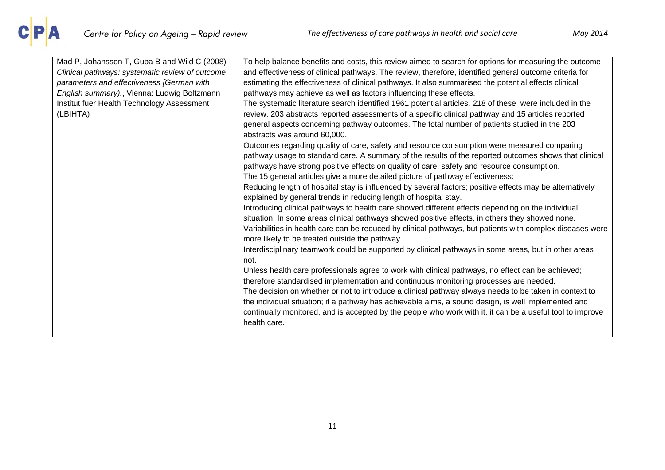| Mad P, Johansson T, Guba B and Wild C (2008)    | To help balance benefits and costs, this review aimed to search for options for measuring the outcome     |
|-------------------------------------------------|-----------------------------------------------------------------------------------------------------------|
| Clinical pathways: systematic review of outcome | and effectiveness of clinical pathways. The review, therefore, identified general outcome criteria for    |
| parameters and effectiveness [German with       | estimating the effectiveness of clinical pathways. It also summarised the potential effects clinical      |
| English summary)., Vienna: Ludwig Boltzmann     | pathways may achieve as well as factors influencing these effects.                                        |
| Institut fuer Health Technology Assessment      | The systematic literature search identified 1961 potential articles. 218 of these were included in the    |
| (LBIHTA)                                        | review. 203 abstracts reported assessments of a specific clinical pathway and 15 articles reported        |
|                                                 | general aspects concerning pathway outcomes. The total number of patients studied in the 203              |
|                                                 | abstracts was around 60,000.                                                                              |
|                                                 | Outcomes regarding quality of care, safety and resource consumption were measured comparing               |
|                                                 | pathway usage to standard care. A summary of the results of the reported outcomes shows that clinical     |
|                                                 | pathways have strong positive effects on quality of care, safety and resource consumption.                |
|                                                 | The 15 general articles give a more detailed picture of pathway effectiveness:                            |
|                                                 | Reducing length of hospital stay is influenced by several factors; positive effects may be alternatively  |
|                                                 | explained by general trends in reducing length of hospital stay.                                          |
|                                                 | Introducing clinical pathways to health care showed different effects depending on the individual         |
|                                                 | situation. In some areas clinical pathways showed positive effects, in others they showed none.           |
|                                                 | Variabilities in health care can be reduced by clinical pathways, but patients with complex diseases were |
|                                                 | more likely to be treated outside the pathway.                                                            |
|                                                 | Interdisciplinary teamwork could be supported by clinical pathways in some areas, but in other areas      |
|                                                 | not.                                                                                                      |
|                                                 | Unless health care professionals agree to work with clinical pathways, no effect can be achieved;         |
|                                                 | therefore standardised implementation and continuous monitoring processes are needed.                     |
|                                                 | The decision on whether or not to introduce a clinical pathway always needs to be taken in context to     |
|                                                 | the individual situation; if a pathway has achievable aims, a sound design, is well implemented and       |
|                                                 | continually monitored, and is accepted by the people who work with it, it can be a useful tool to improve |
|                                                 | health care.                                                                                              |
|                                                 |                                                                                                           |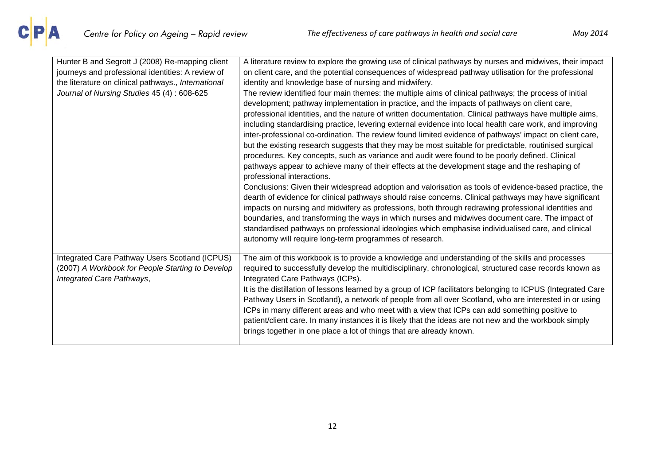| Hunter B and Segrott J (2008) Re-mapping client                                                                                 | A literature review to explore the growing use of clinical pathways by nurses and midwives, their impact                                                                                                                                                                                                                                                                                                                                                                                                                                                                                                                                                                                                                                                                                                                                                                                                                                                                                                                                                                                                                                                                                                                                                                                                                                                                                                                |
|---------------------------------------------------------------------------------------------------------------------------------|-------------------------------------------------------------------------------------------------------------------------------------------------------------------------------------------------------------------------------------------------------------------------------------------------------------------------------------------------------------------------------------------------------------------------------------------------------------------------------------------------------------------------------------------------------------------------------------------------------------------------------------------------------------------------------------------------------------------------------------------------------------------------------------------------------------------------------------------------------------------------------------------------------------------------------------------------------------------------------------------------------------------------------------------------------------------------------------------------------------------------------------------------------------------------------------------------------------------------------------------------------------------------------------------------------------------------------------------------------------------------------------------------------------------------|
| journeys and professional identities: A review of                                                                               | on client care, and the potential consequences of widespread pathway utilisation for the professional                                                                                                                                                                                                                                                                                                                                                                                                                                                                                                                                                                                                                                                                                                                                                                                                                                                                                                                                                                                                                                                                                                                                                                                                                                                                                                                   |
| the literature on clinical pathways., International                                                                             | identity and knowledge base of nursing and midwifery.                                                                                                                                                                                                                                                                                                                                                                                                                                                                                                                                                                                                                                                                                                                                                                                                                                                                                                                                                                                                                                                                                                                                                                                                                                                                                                                                                                   |
| Journal of Nursing Studies 45 (4): 608-625                                                                                      | The review identified four main themes: the multiple aims of clinical pathways; the process of initial<br>development; pathway implementation in practice, and the impacts of pathways on client care,<br>professional identities, and the nature of written documentation. Clinical pathways have multiple aims,<br>including standardising practice, levering external evidence into local health care work, and improving<br>inter-professional co-ordination. The review found limited evidence of pathways' impact on client care,<br>but the existing research suggests that they may be most suitable for predictable, routinised surgical<br>procedures. Key concepts, such as variance and audit were found to be poorly defined. Clinical<br>pathways appear to achieve many of their effects at the development stage and the reshaping of<br>professional interactions.<br>Conclusions: Given their widespread adoption and valorisation as tools of evidence-based practice, the<br>dearth of evidence for clinical pathways should raise concerns. Clinical pathways may have significant<br>impacts on nursing and midwifery as professions, both through redrawing professional identities and<br>boundaries, and transforming the ways in which nurses and midwives document care. The impact of<br>standardised pathways on professional ideologies which emphasise individualised care, and clinical |
|                                                                                                                                 | autonomy will require long-term programmes of research.                                                                                                                                                                                                                                                                                                                                                                                                                                                                                                                                                                                                                                                                                                                                                                                                                                                                                                                                                                                                                                                                                                                                                                                                                                                                                                                                                                 |
|                                                                                                                                 |                                                                                                                                                                                                                                                                                                                                                                                                                                                                                                                                                                                                                                                                                                                                                                                                                                                                                                                                                                                                                                                                                                                                                                                                                                                                                                                                                                                                                         |
| Integrated Care Pathway Users Scotland (ICPUS)<br>(2007) A Workbook for People Starting to Develop<br>Integrated Care Pathways, | The aim of this workbook is to provide a knowledge and understanding of the skills and processes<br>required to successfully develop the multidisciplinary, chronological, structured case records known as<br>Integrated Care Pathways (ICPs).<br>It is the distillation of lessons learned by a group of ICP facilitators belonging to ICPUS (Integrated Care<br>Pathway Users in Scotland), a network of people from all over Scotland, who are interested in or using<br>ICPs in many different areas and who meet with a view that ICPs can add something positive to<br>patient/client care. In many instances it is likely that the ideas are not new and the workbook simply<br>brings together in one place a lot of things that are already known.                                                                                                                                                                                                                                                                                                                                                                                                                                                                                                                                                                                                                                                            |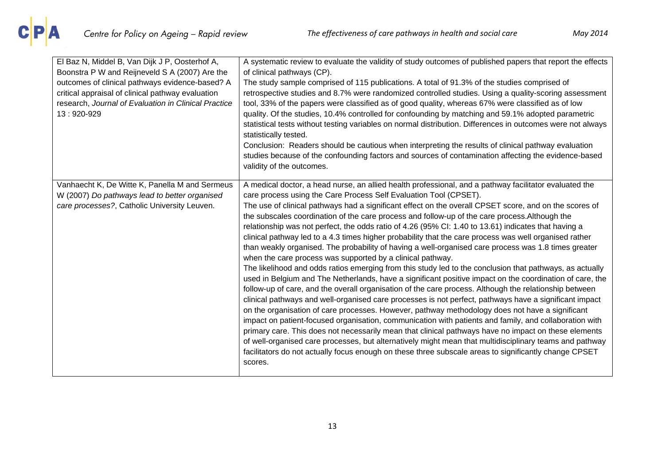| El Baz N, Middel B, Van Dijk J P, Oosterhof A,<br>Boonstra P W and Reijneveld S A (2007) Are the<br>outcomes of clinical pathways evidence-based? A<br>critical appraisal of clinical pathway evaluation<br>research, Journal of Evaluation in Clinical Practice<br>13:920-929 | A systematic review to evaluate the validity of study outcomes of published papers that report the effects<br>of clinical pathways (CP).<br>The study sample comprised of 115 publications. A total of 91.3% of the studies comprised of<br>retrospective studies and 8.7% were randomized controlled studies. Using a quality-scoring assessment<br>tool, 33% of the papers were classified as of good quality, whereas 67% were classified as of low<br>quality. Of the studies, 10.4% controlled for confounding by matching and 59.1% adopted parametric<br>statistical tests without testing variables on normal distribution. Differences in outcomes were not always<br>statistically tested.<br>Conclusion: Readers should be cautious when interpreting the results of clinical pathway evaluation<br>studies because of the confounding factors and sources of contamination affecting the evidence-based<br>validity of the outcomes.                                                                                                                                                                                                                                                                                                                                                                                                                                                                                                                                                                                                                                                                                                                                                                                                                                |
|--------------------------------------------------------------------------------------------------------------------------------------------------------------------------------------------------------------------------------------------------------------------------------|---------------------------------------------------------------------------------------------------------------------------------------------------------------------------------------------------------------------------------------------------------------------------------------------------------------------------------------------------------------------------------------------------------------------------------------------------------------------------------------------------------------------------------------------------------------------------------------------------------------------------------------------------------------------------------------------------------------------------------------------------------------------------------------------------------------------------------------------------------------------------------------------------------------------------------------------------------------------------------------------------------------------------------------------------------------------------------------------------------------------------------------------------------------------------------------------------------------------------------------------------------------------------------------------------------------------------------------------------------------------------------------------------------------------------------------------------------------------------------------------------------------------------------------------------------------------------------------------------------------------------------------------------------------------------------------------------------------------------------------------------------------------------------|
| Vanhaecht K, De Witte K, Panella M and Sermeus<br>W (2007) Do pathways lead to better organised<br>care processes?, Catholic University Leuven.                                                                                                                                | A medical doctor, a head nurse, an allied health professional, and a pathway facilitator evaluated the<br>care process using the Care Process Self Evaluation Tool (CPSET).<br>The use of clinical pathways had a significant effect on the overall CPSET score, and on the scores of<br>the subscales coordination of the care process and follow-up of the care process. Although the<br>relationship was not perfect, the odds ratio of 4.26 (95% CI: 1.40 to 13.61) indicates that having a<br>clinical pathway led to a 4.3 times higher probability that the care process was well organised rather<br>than weakly organised. The probability of having a well-organised care process was 1.8 times greater<br>when the care process was supported by a clinical pathway.<br>The likelihood and odds ratios emerging from this study led to the conclusion that pathways, as actually<br>used in Belgium and The Netherlands, have a significant positive impact on the coordination of care, the<br>follow-up of care, and the overall organisation of the care process. Although the relationship between<br>clinical pathways and well-organised care processes is not perfect, pathways have a significant impact<br>on the organisation of care processes. However, pathway methodology does not have a significant<br>impact on patient-focused organisation, communication with patients and family, and collaboration with<br>primary care. This does not necessarily mean that clinical pathways have no impact on these elements<br>of well-organised care processes, but alternatively might mean that multidisciplinary teams and pathway<br>facilitators do not actually focus enough on these three subscale areas to significantly change CPSET<br>scores. |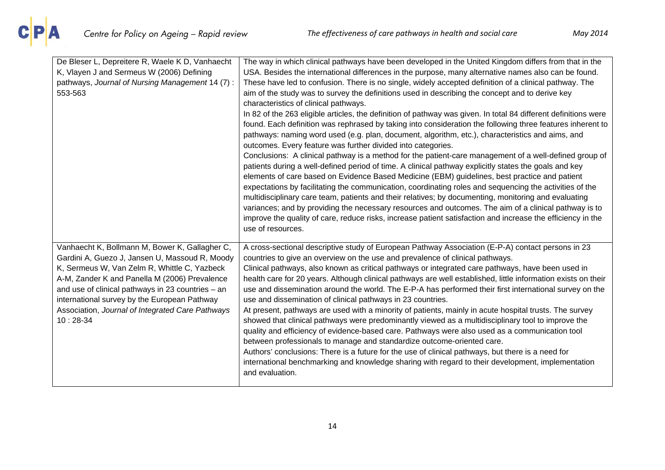| De Bleser L, Depreitere R, Waele K D, Vanhaecht                                                    | The way in which clinical pathways have been developed in the United Kingdom differs from that in the                                                                                                                    |
|----------------------------------------------------------------------------------------------------|--------------------------------------------------------------------------------------------------------------------------------------------------------------------------------------------------------------------------|
| K, Vlayen J and Sermeus W (2006) Defining                                                          | USA. Besides the international differences in the purpose, many alternative names also can be found.                                                                                                                     |
| pathways, Journal of Nursing Management 14 (7):                                                    | These have led to confusion. There is no single, widely accepted definition of a clinical pathway. The                                                                                                                   |
| 553-563                                                                                            | aim of the study was to survey the definitions used in describing the concept and to derive key                                                                                                                          |
|                                                                                                    | characteristics of clinical pathways.                                                                                                                                                                                    |
|                                                                                                    | In 82 of the 263 eligible articles, the definition of pathway was given. In total 84 different definitions were                                                                                                          |
|                                                                                                    | found. Each definition was rephrased by taking into consideration the following three features inherent to                                                                                                               |
|                                                                                                    | pathways: naming word used (e.g. plan, document, algorithm, etc.), characteristics and aims, and                                                                                                                         |
|                                                                                                    | outcomes. Every feature was further divided into categories.                                                                                                                                                             |
|                                                                                                    | Conclusions: A clinical pathway is a method for the patient-care management of a well-defined group of                                                                                                                   |
|                                                                                                    | patients during a well-defined period of time. A clinical pathway explicitly states the goals and key                                                                                                                    |
|                                                                                                    | elements of care based on Evidence Based Medicine (EBM) guidelines, best practice and patient                                                                                                                            |
|                                                                                                    | expectations by facilitating the communication, coordinating roles and sequencing the activities of the                                                                                                                  |
|                                                                                                    | multidisciplinary care team, patients and their relatives; by documenting, monitoring and evaluating                                                                                                                     |
|                                                                                                    | variances; and by providing the necessary resources and outcomes. The aim of a clinical pathway is to                                                                                                                    |
|                                                                                                    | improve the quality of care, reduce risks, increase patient satisfaction and increase the efficiency in the                                                                                                              |
|                                                                                                    | use of resources.                                                                                                                                                                                                        |
| Vanhaecht K, Bollmann M, Bower K, Gallagher C,                                                     | A cross-sectional descriptive study of European Pathway Association (E-P-A) contact persons in 23                                                                                                                        |
| Gardini A, Guezo J, Jansen U, Massoud R, Moody                                                     | countries to give an overview on the use and prevalence of clinical pathways.                                                                                                                                            |
| K, Sermeus W, Van Zelm R, Whittle C, Yazbeck                                                       | Clinical pathways, also known as critical pathways or integrated care pathways, have been used in                                                                                                                        |
|                                                                                                    |                                                                                                                                                                                                                          |
|                                                                                                    |                                                                                                                                                                                                                          |
| A-M, Zander K and Panella M (2006) Prevalence<br>and use of clinical pathways in 23 countries - an | health care for 20 years. Although clinical pathways are well established, little information exists on their<br>use and dissemination around the world. The E-P-A has performed their first international survey on the |
| international survey by the European Pathway                                                       | use and dissemination of clinical pathways in 23 countries.                                                                                                                                                              |
| Association, Journal of Integrated Care Pathways                                                   | At present, pathways are used with a minority of patients, mainly in acute hospital trusts. The survey                                                                                                                   |
| $10:28-34$                                                                                         | showed that clinical pathways were predominantly viewed as a multidisciplinary tool to improve the                                                                                                                       |
|                                                                                                    | quality and efficiency of evidence-based care. Pathways were also used as a communication tool                                                                                                                           |
|                                                                                                    | between professionals to manage and standardize outcome-oriented care.                                                                                                                                                   |
|                                                                                                    | Authors' conclusions: There is a future for the use of clinical pathways, but there is a need for                                                                                                                        |
|                                                                                                    | international benchmarking and knowledge sharing with regard to their development, implementation                                                                                                                        |
|                                                                                                    | and evaluation.                                                                                                                                                                                                          |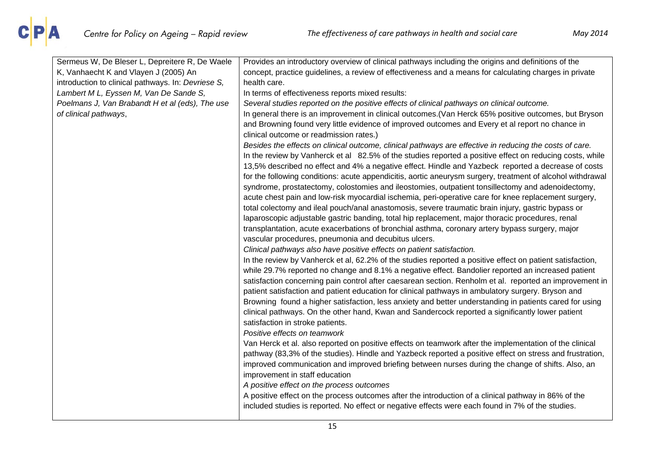| Sermeus W, De Bleser L, Depreitere R, De Waele     | Provides an introductory overview of clinical pathways including the origins and definitions of the        |
|----------------------------------------------------|------------------------------------------------------------------------------------------------------------|
| K, Vanhaecht K and Vlayen J (2005) An              | concept, practice guidelines, a review of effectiveness and a means for calculating charges in private     |
| introduction to clinical pathways. In: Devriese S, | health care.                                                                                               |
| Lambert M L, Eyssen M, Van De Sande S,             | In terms of effectiveness reports mixed results:                                                           |
| Poelmans J, Van Brabandt H et al (eds), The use    | Several studies reported on the positive effects of clinical pathways on clinical outcome.                 |
| of clinical pathways,                              | In general there is an improvement in clinical outcomes. (Van Herck 65% positive outcomes, but Bryson      |
|                                                    | and Browning found very little evidence of improved outcomes and Every et al report no chance in           |
|                                                    | clinical outcome or readmission rates.)                                                                    |
|                                                    | Besides the effects on clinical outcome, clinical pathways are effective in reducing the costs of care.    |
|                                                    | In the review by Vanherck et al 82.5% of the studies reported a positive effect on reducing costs, while   |
|                                                    | 13,5% described no effect and 4% a negative effect. Hindle and Yazbeck reported a decrease of costs        |
|                                                    | for the following conditions: acute appendicitis, aortic aneurysm surgery, treatment of alcohol withdrawal |
|                                                    | syndrome, prostatectomy, colostomies and ileostomies, outpatient tonsillectomy and adenoidectomy,          |
|                                                    | acute chest pain and low-risk myocardial ischemia, peri-operative care for knee replacement surgery,       |
|                                                    | total colectomy and ileal pouch/anal anastomosis, severe traumatic brain injury, gastric bypass or         |
|                                                    | laparoscopic adjustable gastric banding, total hip replacement, major thoracic procedures, renal           |
|                                                    | transplantation, acute exacerbations of bronchial asthma, coronary artery bypass surgery, major            |
|                                                    | vascular procedures, pneumonia and decubitus ulcers.                                                       |
|                                                    | Clinical pathways also have positive effects on patient satisfaction.                                      |
|                                                    | In the review by Vanherck et al, 62.2% of the studies reported a positive effect on patient satisfaction,  |
|                                                    | while 29.7% reported no change and 8.1% a negative effect. Bandolier reported an increased patient         |
|                                                    | satisfaction concerning pain control after caesarean section. Renholm et al. reported an improvement in    |
|                                                    | patient satisfaction and patient education for clinical pathways in ambulatory surgery. Bryson and         |
|                                                    | Browning found a higher satisfaction, less anxiety and better understanding in patients cared for using    |
|                                                    | clinical pathways. On the other hand, Kwan and Sandercock reported a significantly lower patient           |
|                                                    | satisfaction in stroke patients.                                                                           |
|                                                    | Positive effects on teamwork                                                                               |
|                                                    | Van Herck et al. also reported on positive effects on teamwork after the implementation of the clinical    |
|                                                    | pathway (83,3% of the studies). Hindle and Yazbeck reported a positive effect on stress and frustration,   |
|                                                    | improved communication and improved briefing between nurses during the change of shifts. Also, an          |
|                                                    | improvement in staff education                                                                             |
|                                                    | A positive effect on the process outcomes                                                                  |
|                                                    | A positive effect on the process outcomes after the introduction of a clinical pathway in 86% of the       |
|                                                    | included studies is reported. No effect or negative effects were each found in 7% of the studies.          |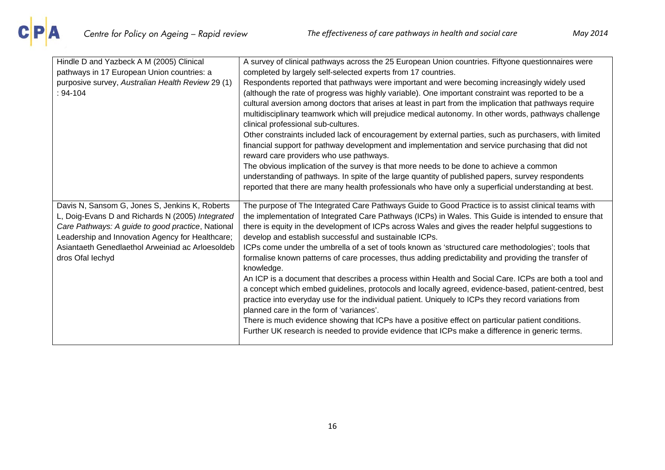| Hindle D and Yazbeck A M (2005) Clinical<br>pathways in 17 European Union countries: a<br>purposive survey, Australian Health Review 29 (1)<br>$: 94-104$                                                                                                                           | A survey of clinical pathways across the 25 European Union countries. Fiftyone questionnaires were<br>completed by largely self-selected experts from 17 countries.<br>Respondents reported that pathways were important and were becoming increasingly widely used<br>(although the rate of progress was highly variable). One important constraint was reported to be a<br>cultural aversion among doctors that arises at least in part from the implication that pathways require<br>multidisciplinary teamwork which will prejudice medical autonomy. In other words, pathways challenge<br>clinical professional sub-cultures.                                                                                                                                                                                                                                                                                                                                                                                                                                                                                                                                                     |
|-------------------------------------------------------------------------------------------------------------------------------------------------------------------------------------------------------------------------------------------------------------------------------------|-----------------------------------------------------------------------------------------------------------------------------------------------------------------------------------------------------------------------------------------------------------------------------------------------------------------------------------------------------------------------------------------------------------------------------------------------------------------------------------------------------------------------------------------------------------------------------------------------------------------------------------------------------------------------------------------------------------------------------------------------------------------------------------------------------------------------------------------------------------------------------------------------------------------------------------------------------------------------------------------------------------------------------------------------------------------------------------------------------------------------------------------------------------------------------------------|
|                                                                                                                                                                                                                                                                                     | Other constraints included lack of encouragement by external parties, such as purchasers, with limited<br>financial support for pathway development and implementation and service purchasing that did not<br>reward care providers who use pathways.<br>The obvious implication of the survey is that more needs to be done to achieve a common<br>understanding of pathways. In spite of the large quantity of published papers, survey respondents<br>reported that there are many health professionals who have only a superficial understanding at best.                                                                                                                                                                                                                                                                                                                                                                                                                                                                                                                                                                                                                           |
| Davis N, Sansom G, Jones S, Jenkins K, Roberts<br>L, Doig-Evans D and Richards N (2005) Integrated<br>Care Pathways: A guide to good practice, National<br>Leadership and Innovation Agency for Healthcare;<br>Asiantaeth Genedlaethol Arweiniad ac Arloesoldeb<br>dros Ofal lechyd | The purpose of The Integrated Care Pathways Guide to Good Practice is to assist clinical teams with<br>the implementation of Integrated Care Pathways (ICPs) in Wales. This Guide is intended to ensure that<br>there is equity in the development of ICPs across Wales and gives the reader helpful suggestions to<br>develop and establish successful and sustainable ICPs.<br>ICPs come under the umbrella of a set of tools known as 'structured care methodologies'; tools that<br>formalise known patterns of care processes, thus adding predictability and providing the transfer of<br>knowledge.<br>An ICP is a document that describes a process within Health and Social Care. ICPs are both a tool and<br>a concept which embed guidelines, protocols and locally agreed, evidence-based, patient-centred, best<br>practice into everyday use for the individual patient. Uniquely to ICPs they record variations from<br>planned care in the form of 'variances'.<br>There is much evidence showing that ICPs have a positive effect on particular patient conditions.<br>Further UK research is needed to provide evidence that ICPs make a difference in generic terms. |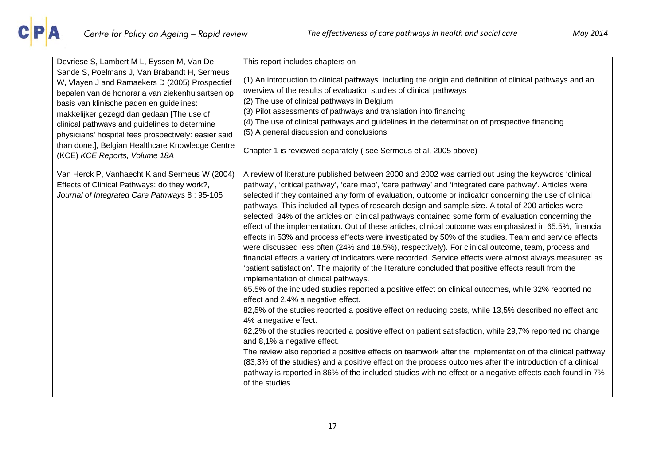|  | May 2014 |
|--|----------|
|--|----------|

| Devriese S, Lambert M L, Eyssen M, Van De<br>Sande S, Poelmans J, Van Brabandt H, Sermeus<br>W, Vlayen J and Ramaekers D (2005) Prospectief<br>bepalen van de honoraria van ziekenhuisartsen op<br>basis van klinische paden en guidelines:<br>makkelijker gezegd dan gedaan [The use of<br>clinical pathways and guidelines to determine<br>physicians' hospital fees prospectively: easier said<br>than done.], Belgian Healthcare Knowledge Centre<br>(KCE) KCE Reports, Volume 18A | This report includes chapters on<br>(1) An introduction to clinical pathways including the origin and definition of clinical pathways and an<br>overview of the results of evaluation studies of clinical pathways<br>(2) The use of clinical pathways in Belgium<br>(3) Pilot assessments of pathways and translation into financing<br>(4) The use of clinical pathways and guidelines in the determination of prospective financing<br>(5) A general discussion and conclusions<br>Chapter 1 is reviewed separately (see Sermeus et al, 2005 above)                                                                                                                                                                                                                                                                                                                                                                                                                                                                                                                                                                                                                                                                                                                                                                                                                                                                                                                                                                                                                                                                                                                                                                                                                                                                                                                                                       |
|----------------------------------------------------------------------------------------------------------------------------------------------------------------------------------------------------------------------------------------------------------------------------------------------------------------------------------------------------------------------------------------------------------------------------------------------------------------------------------------|--------------------------------------------------------------------------------------------------------------------------------------------------------------------------------------------------------------------------------------------------------------------------------------------------------------------------------------------------------------------------------------------------------------------------------------------------------------------------------------------------------------------------------------------------------------------------------------------------------------------------------------------------------------------------------------------------------------------------------------------------------------------------------------------------------------------------------------------------------------------------------------------------------------------------------------------------------------------------------------------------------------------------------------------------------------------------------------------------------------------------------------------------------------------------------------------------------------------------------------------------------------------------------------------------------------------------------------------------------------------------------------------------------------------------------------------------------------------------------------------------------------------------------------------------------------------------------------------------------------------------------------------------------------------------------------------------------------------------------------------------------------------------------------------------------------------------------------------------------------------------------------------------------------|
| Van Herck P, Vanhaecht K and Sermeus W (2004)<br>Effects of Clinical Pathways: do they work?,<br>Journal of Integrated Care Pathways 8: 95-105                                                                                                                                                                                                                                                                                                                                         | A review of literature published between 2000 and 2002 was carried out using the keywords 'clinical<br>pathway', 'critical pathway', 'care map', 'care pathway' and 'integrated care pathway'. Articles were<br>selected if they contained any form of evaluation, outcome or indicator concerning the use of clinical<br>pathways. This included all types of research design and sample size. A total of 200 articles were<br>selected. 34% of the articles on clinical pathways contained some form of evaluation concerning the<br>effect of the implementation. Out of these articles, clinical outcome was emphasized in 65.5%, financial<br>effects in 53% and process effects were investigated by 50% of the studies. Team and service effects<br>were discussed less often (24% and 18.5%), respectively). For clinical outcome, team, process and<br>financial effects a variety of indicators were recorded. Service effects were almost always measured as<br>'patient satisfaction'. The majority of the literature concluded that positive effects result from the<br>implementation of clinical pathways.<br>65.5% of the included studies reported a positive effect on clinical outcomes, while 32% reported no<br>effect and 2.4% a negative effect.<br>82,5% of the studies reported a positive effect on reducing costs, while 13,5% described no effect and<br>4% a negative effect.<br>62,2% of the studies reported a positive effect on patient satisfaction, while 29,7% reported no change<br>and 8,1% a negative effect.<br>The review also reported a positive effects on teamwork after the implementation of the clinical pathway<br>(83,3% of the studies) and a positive effect on the process outcomes after the introduction of a clinical<br>pathway is reported in 86% of the included studies with no effect or a negative effects each found in 7%<br>of the studies. |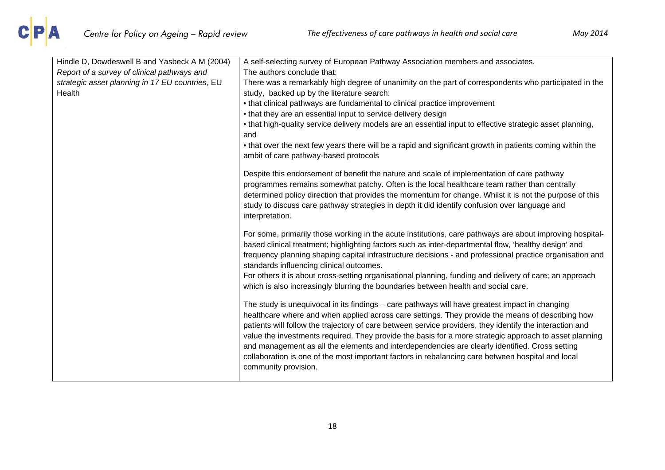

| Hindle D, Dowdeswell B and Yasbeck A M (2004)   | A self-selecting survey of European Pathway Association members and associates.                                                                                                                                                                                                                                                                                                                                                                                                                                                                                                                                                                         |
|-------------------------------------------------|---------------------------------------------------------------------------------------------------------------------------------------------------------------------------------------------------------------------------------------------------------------------------------------------------------------------------------------------------------------------------------------------------------------------------------------------------------------------------------------------------------------------------------------------------------------------------------------------------------------------------------------------------------|
| Report of a survey of clinical pathways and     | The authors conclude that:                                                                                                                                                                                                                                                                                                                                                                                                                                                                                                                                                                                                                              |
| strategic asset planning in 17 EU countries, EU | There was a remarkably high degree of unanimity on the part of correspondents who participated in the                                                                                                                                                                                                                                                                                                                                                                                                                                                                                                                                                   |
| Health                                          | study, backed up by the literature search:                                                                                                                                                                                                                                                                                                                                                                                                                                                                                                                                                                                                              |
|                                                 | • that clinical pathways are fundamental to clinical practice improvement                                                                                                                                                                                                                                                                                                                                                                                                                                                                                                                                                                               |
|                                                 | • that they are an essential input to service delivery design                                                                                                                                                                                                                                                                                                                                                                                                                                                                                                                                                                                           |
|                                                 | • that high-quality service delivery models are an essential input to effective strategic asset planning,<br>and                                                                                                                                                                                                                                                                                                                                                                                                                                                                                                                                        |
|                                                 | . that over the next few years there will be a rapid and significant growth in patients coming within the<br>ambit of care pathway-based protocols                                                                                                                                                                                                                                                                                                                                                                                                                                                                                                      |
|                                                 | Despite this endorsement of benefit the nature and scale of implementation of care pathway<br>programmes remains somewhat patchy. Often is the local healthcare team rather than centrally<br>determined policy direction that provides the momentum for change. Whilst it is not the purpose of this<br>study to discuss care pathway strategies in depth it did identify confusion over language and<br>interpretation.                                                                                                                                                                                                                               |
|                                                 | For some, primarily those working in the acute institutions, care pathways are about improving hospital-<br>based clinical treatment; highlighting factors such as inter-departmental flow, 'healthy design' and<br>frequency planning shaping capital infrastructure decisions - and professional practice organisation and<br>standards influencing clinical outcomes.<br>For others it is about cross-setting organisational planning, funding and delivery of care; an approach                                                                                                                                                                     |
|                                                 | which is also increasingly blurring the boundaries between health and social care.                                                                                                                                                                                                                                                                                                                                                                                                                                                                                                                                                                      |
|                                                 | The study is unequivocal in its findings - care pathways will have greatest impact in changing<br>healthcare where and when applied across care settings. They provide the means of describing how<br>patients will follow the trajectory of care between service providers, they identify the interaction and<br>value the investments required. They provide the basis for a more strategic approach to asset planning<br>and management as all the elements and interdependencies are clearly identified. Cross setting<br>collaboration is one of the most important factors in rebalancing care between hospital and local<br>community provision. |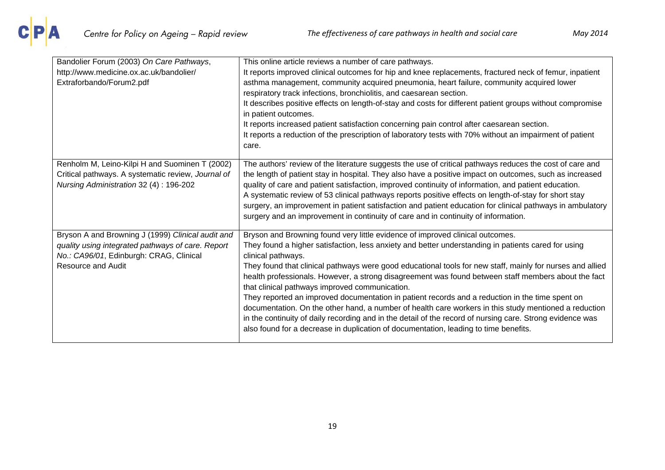| Bandolier Forum (2003) On Care Pathways,           | This online article reviews a number of care pathways.                                                    |
|----------------------------------------------------|-----------------------------------------------------------------------------------------------------------|
| http://www.medicine.ox.ac.uk/bandolier/            | It reports improved clinical outcomes for hip and knee replacements, fractured neck of femur, inpatient   |
| Extraforbando/Forum2.pdf                           | asthma management, community acquired pneumonia, heart failure, community acquired lower                  |
|                                                    | respiratory track infections, bronchiolitis, and caesarean section.                                       |
|                                                    | It describes positive effects on length-of-stay and costs for different patient groups without compromise |
|                                                    | in patient outcomes.                                                                                      |
|                                                    | It reports increased patient satisfaction concerning pain control after caesarean section.                |
|                                                    | It reports a reduction of the prescription of laboratory tests with 70% without an impairment of patient  |
|                                                    | care.                                                                                                     |
|                                                    |                                                                                                           |
| Renholm M, Leino-Kilpi H and Suominen T (2002)     | The authors' review of the literature suggests the use of critical pathways reduces the cost of care and  |
| Critical pathways. A systematic review, Journal of | the length of patient stay in hospital. They also have a positive impact on outcomes, such as increased   |
| Nursing Administration 32 (4): 196-202             | quality of care and patient satisfaction, improved continuity of information, and patient education.      |
|                                                    | A systematic review of 53 clinical pathways reports positive effects on length-of-stay for short stay     |
|                                                    | surgery, an improvement in patient satisfaction and patient education for clinical pathways in ambulatory |
|                                                    | surgery and an improvement in continuity of care and in continuity of information.                        |
|                                                    |                                                                                                           |
| Bryson A and Browning J (1999) Clinical audit and  | Bryson and Browning found very little evidence of improved clinical outcomes.                             |
| quality using integrated pathways of care. Report  | They found a higher satisfaction, less anxiety and better understanding in patients cared for using       |
| No.: CA96/01, Edinburgh: CRAG, Clinical            | clinical pathways.                                                                                        |
| <b>Resource and Audit</b>                          | They found that clinical pathways were good educational tools for new staff, mainly for nurses and allied |
|                                                    | health professionals. However, a strong disagreement was found between staff members about the fact       |
|                                                    | that clinical pathways improved communication.                                                            |
|                                                    | They reported an improved documentation in patient records and a reduction in the time spent on           |
|                                                    | documentation. On the other hand, a number of health care workers in this study mentioned a reduction     |
|                                                    | in the continuity of daily recording and in the detail of the record of nursing care. Strong evidence was |
|                                                    | also found for a decrease in duplication of documentation, leading to time benefits.                      |
|                                                    |                                                                                                           |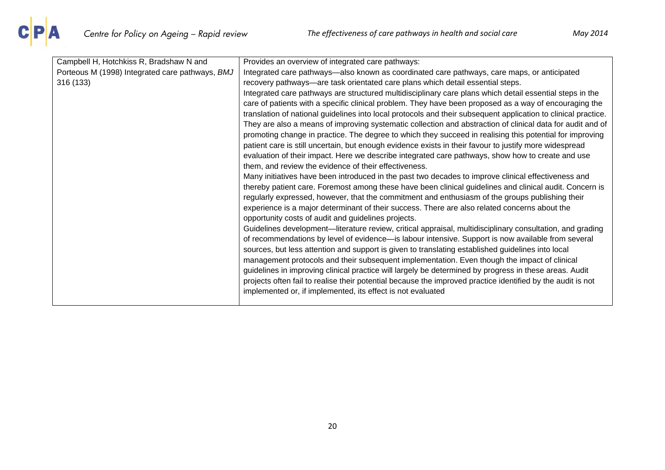| Campbell H, Hotchkiss R, Bradshaw N and         | Provides an overview of integrated care pathways:                                                              |
|-------------------------------------------------|----------------------------------------------------------------------------------------------------------------|
| Porteous M (1998) Integrated care pathways, BMJ | Integrated care pathways—also known as coordinated care pathways, care maps, or anticipated                    |
| 316 (133)                                       | recovery pathways-are task orientated care plans which detail essential steps.                                 |
|                                                 | Integrated care pathways are structured multidisciplinary care plans which detail essential steps in the       |
|                                                 | care of patients with a specific clinical problem. They have been proposed as a way of encouraging the         |
|                                                 | translation of national guidelines into local protocols and their subsequent application to clinical practice. |
|                                                 | They are also a means of improving systematic collection and abstraction of clinical data for audit and of     |
|                                                 | promoting change in practice. The degree to which they succeed in realising this potential for improving       |
|                                                 | patient care is still uncertain, but enough evidence exists in their favour to justify more widespread         |
|                                                 | evaluation of their impact. Here we describe integrated care pathways, show how to create and use              |
|                                                 | them, and review the evidence of their effectiveness.                                                          |
|                                                 | Many initiatives have been introduced in the past two decades to improve clinical effectiveness and            |
|                                                 | thereby patient care. Foremost among these have been clinical guidelines and clinical audit. Concern is        |
|                                                 | regularly expressed, however, that the commitment and enthusiasm of the groups publishing their                |
|                                                 | experience is a major determinant of their success. There are also related concerns about the                  |
|                                                 | opportunity costs of audit and guidelines projects.                                                            |
|                                                 | Guidelines development—literature review, critical appraisal, multidisciplinary consultation, and grading      |
|                                                 | of recommendations by level of evidence—is labour intensive. Support is now available from several             |
|                                                 | sources, but less attention and support is given to translating established guidelines into local              |
|                                                 | management protocols and their subsequent implementation. Even though the impact of clinical                   |
|                                                 | guidelines in improving clinical practice will largely be determined by progress in these areas. Audit         |
|                                                 | projects often fail to realise their potential because the improved practice identified by the audit is not    |
|                                                 | implemented or, if implemented, its effect is not evaluated                                                    |
|                                                 |                                                                                                                |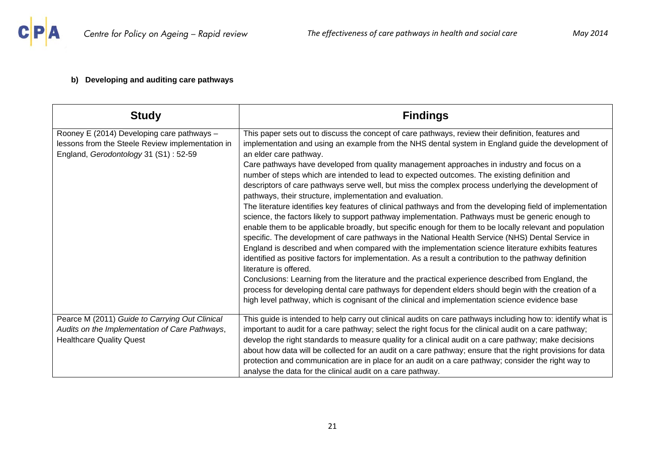

## **b) Developing and auditing care pathways**

<span id="page-20-0"></span>

| <b>Study</b>                                                                                                                            | <b>Findings</b>                                                                                                                                                                                                                                                                                                                                                                                                                                                                                                                                                                                                                                                                                                                                                                                                                                                                                                                                                                                                                                                                                                                                                                                                                                                                                                                                                                                                                                                                                                                                                                                        |
|-----------------------------------------------------------------------------------------------------------------------------------------|--------------------------------------------------------------------------------------------------------------------------------------------------------------------------------------------------------------------------------------------------------------------------------------------------------------------------------------------------------------------------------------------------------------------------------------------------------------------------------------------------------------------------------------------------------------------------------------------------------------------------------------------------------------------------------------------------------------------------------------------------------------------------------------------------------------------------------------------------------------------------------------------------------------------------------------------------------------------------------------------------------------------------------------------------------------------------------------------------------------------------------------------------------------------------------------------------------------------------------------------------------------------------------------------------------------------------------------------------------------------------------------------------------------------------------------------------------------------------------------------------------------------------------------------------------------------------------------------------------|
| Rooney E (2014) Developing care pathways -<br>lessons from the Steele Review implementation in<br>England, Gerodontology 31 (S1): 52-59 | This paper sets out to discuss the concept of care pathways, review their definition, features and<br>implementation and using an example from the NHS dental system in England guide the development of<br>an elder care pathway.<br>Care pathways have developed from quality management approaches in industry and focus on a<br>number of steps which are intended to lead to expected outcomes. The existing definition and<br>descriptors of care pathways serve well, but miss the complex process underlying the development of<br>pathways, their structure, implementation and evaluation.<br>The literature identifies key features of clinical pathways and from the developing field of implementation<br>science, the factors likely to support pathway implementation. Pathways must be generic enough to<br>enable them to be applicable broadly, but specific enough for them to be locally relevant and population<br>specific. The development of care pathways in the National Health Service (NHS) Dental Service in<br>England is described and when compared with the implementation science literature exhibits features<br>identified as positive factors for implementation. As a result a contribution to the pathway definition<br>literature is offered.<br>Conclusions: Learning from the literature and the practical experience described from England, the<br>process for developing dental care pathways for dependent elders should begin with the creation of a<br>high level pathway, which is cognisant of the clinical and implementation science evidence base |
| Pearce M (2011) Guide to Carrying Out Clinical<br>Audits on the Implementation of Care Pathways,<br><b>Healthcare Quality Quest</b>     | This guide is intended to help carry out clinical audits on care pathways including how to: identify what is<br>important to audit for a care pathway; select the right focus for the clinical audit on a care pathway;<br>develop the right standards to measure quality for a clinical audit on a care pathway; make decisions<br>about how data will be collected for an audit on a care pathway; ensure that the right provisions for data<br>protection and communication are in place for an audit on a care pathway; consider the right way to<br>analyse the data for the clinical audit on a care pathway.                                                                                                                                                                                                                                                                                                                                                                                                                                                                                                                                                                                                                                                                                                                                                                                                                                                                                                                                                                                    |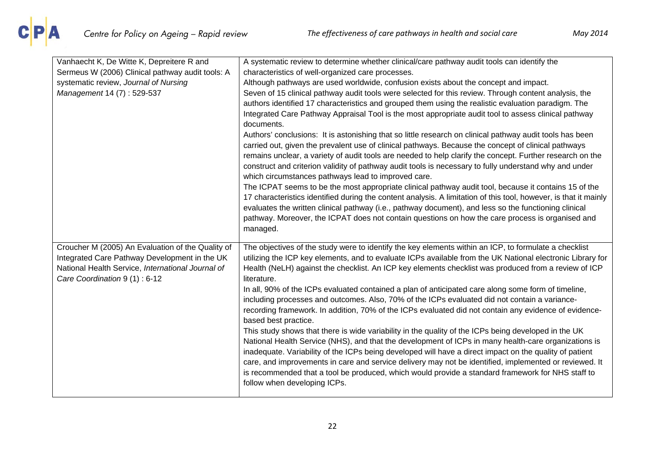| Vanhaecht K, De Witte K, Depreitere R and<br>Sermeus W (2006) Clinical pathway audit tools: A<br>systematic review, Journal of Nursing<br>Management 14 (7): 529-537                     | A systematic review to determine whether clinical/care pathway audit tools can identify the<br>characteristics of well-organized care processes.<br>Although pathways are used worldwide, confusion exists about the concept and impact.<br>Seven of 15 clinical pathway audit tools were selected for this review. Through content analysis, the<br>authors identified 17 characteristics and grouped them using the realistic evaluation paradigm. The<br>Integrated Care Pathway Appraisal Tool is the most appropriate audit tool to assess clinical pathway<br>documents.<br>Authors' conclusions: It is astonishing that so little research on clinical pathway audit tools has been<br>carried out, given the prevalent use of clinical pathways. Because the concept of clinical pathways<br>remains unclear, a variety of audit tools are needed to help clarify the concept. Further research on the<br>construct and criterion validity of pathway audit tools is necessary to fully understand why and under<br>which circumstances pathways lead to improved care.<br>The ICPAT seems to be the most appropriate clinical pathway audit tool, because it contains 15 of the<br>17 characteristics identified during the content analysis. A limitation of this tool, however, is that it mainly<br>evaluates the written clinical pathway (i.e., pathway document), and less so the functioning clinical |
|------------------------------------------------------------------------------------------------------------------------------------------------------------------------------------------|-----------------------------------------------------------------------------------------------------------------------------------------------------------------------------------------------------------------------------------------------------------------------------------------------------------------------------------------------------------------------------------------------------------------------------------------------------------------------------------------------------------------------------------------------------------------------------------------------------------------------------------------------------------------------------------------------------------------------------------------------------------------------------------------------------------------------------------------------------------------------------------------------------------------------------------------------------------------------------------------------------------------------------------------------------------------------------------------------------------------------------------------------------------------------------------------------------------------------------------------------------------------------------------------------------------------------------------------------------------------------------------------------------------------------|
|                                                                                                                                                                                          | pathway. Moreover, the ICPAT does not contain questions on how the care process is organised and<br>managed.                                                                                                                                                                                                                                                                                                                                                                                                                                                                                                                                                                                                                                                                                                                                                                                                                                                                                                                                                                                                                                                                                                                                                                                                                                                                                                          |
| Croucher M (2005) An Evaluation of the Quality of<br>Integrated Care Pathway Development in the UK<br>National Health Service, International Journal of<br>Care Coordination 9 (1): 6-12 | The objectives of the study were to identify the key elements within an ICP, to formulate a checklist<br>utilizing the ICP key elements, and to evaluate ICPs available from the UK National electronic Library for<br>Health (NeLH) against the checklist. An ICP key elements checklist was produced from a review of ICP<br>literature.<br>In all, 90% of the ICPs evaluated contained a plan of anticipated care along some form of timeline,<br>including processes and outcomes. Also, 70% of the ICPs evaluated did not contain a variance-<br>recording framework. In addition, 70% of the ICPs evaluated did not contain any evidence of evidence-<br>based best practice.<br>This study shows that there is wide variability in the quality of the ICPs being developed in the UK<br>National Health Service (NHS), and that the development of ICPs in many health-care organizations is<br>inadequate. Variability of the ICPs being developed will have a direct impact on the quality of patient<br>care, and improvements in care and service delivery may not be identified, implemented or reviewed. It<br>is recommended that a tool be produced, which would provide a standard framework for NHS staff to<br>follow when developing ICPs.                                                                                                                                                         |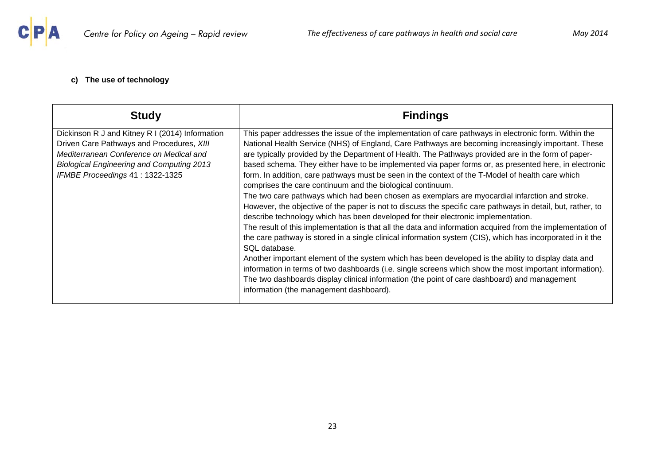

## **c) The use of technology**

<span id="page-22-0"></span>

| <b>Study</b>                                                                                                                                                                                                                   | <b>Findings</b>                                                                                                                                                                                                                                                                                                                                                                                                                                                                                                                                                                                                                                                                                                                                                                                                                                                                                                                                                                                                                                                                                                                                                                                                                                                                                                                                                                                                                                                                                              |
|--------------------------------------------------------------------------------------------------------------------------------------------------------------------------------------------------------------------------------|--------------------------------------------------------------------------------------------------------------------------------------------------------------------------------------------------------------------------------------------------------------------------------------------------------------------------------------------------------------------------------------------------------------------------------------------------------------------------------------------------------------------------------------------------------------------------------------------------------------------------------------------------------------------------------------------------------------------------------------------------------------------------------------------------------------------------------------------------------------------------------------------------------------------------------------------------------------------------------------------------------------------------------------------------------------------------------------------------------------------------------------------------------------------------------------------------------------------------------------------------------------------------------------------------------------------------------------------------------------------------------------------------------------------------------------------------------------------------------------------------------------|
| Dickinson R J and Kitney R I (2014) Information<br>Driven Care Pathways and Procedures, XIII<br>Mediterranean Conference on Medical and<br><b>Biological Engineering and Computing 2013</b><br>IFMBE Proceedings 41: 1322-1325 | This paper addresses the issue of the implementation of care pathways in electronic form. Within the<br>National Health Service (NHS) of England, Care Pathways are becoming increasingly important. These<br>are typically provided by the Department of Health. The Pathways provided are in the form of paper-<br>based schema. They either have to be implemented via paper forms or, as presented here, in electronic<br>form. In addition, care pathways must be seen in the context of the T-Model of health care which<br>comprises the care continuum and the biological continuum.<br>The two care pathways which had been chosen as exemplars are myocardial infarction and stroke.<br>However, the objective of the paper is not to discuss the specific care pathways in detail, but, rather, to<br>describe technology which has been developed for their electronic implementation.<br>The result of this implementation is that all the data and information acquired from the implementation of<br>the care pathway is stored in a single clinical information system (CIS), which has incorporated in it the<br>SQL database.<br>Another important element of the system which has been developed is the ability to display data and<br>information in terms of two dashboards (i.e. single screens which show the most important information).<br>The two dashboards display clinical information (the point of care dashboard) and management<br>information (the management dashboard). |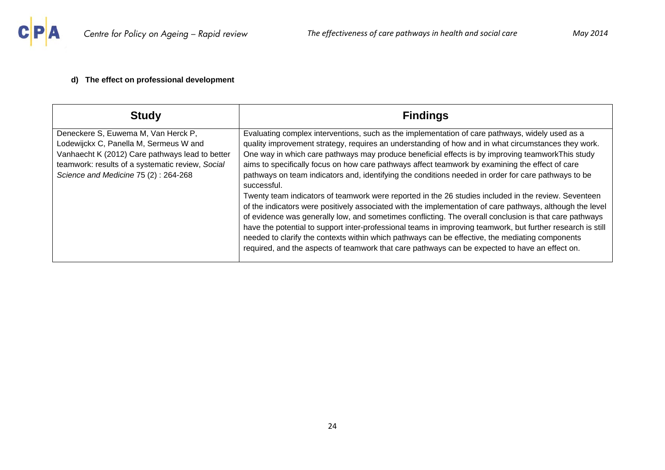

## **d) The effect on professional development**

<span id="page-23-0"></span>

| <b>Study</b>                                                                                                                                                                                                                 | <b>Findings</b>                                                                                                                                                                                                                                                                                                                                                                                                                                                                                                                                                                                                                                                                                                                                                                                                                                                                                                                                                                                                                                                                                                                                                                        |
|------------------------------------------------------------------------------------------------------------------------------------------------------------------------------------------------------------------------------|----------------------------------------------------------------------------------------------------------------------------------------------------------------------------------------------------------------------------------------------------------------------------------------------------------------------------------------------------------------------------------------------------------------------------------------------------------------------------------------------------------------------------------------------------------------------------------------------------------------------------------------------------------------------------------------------------------------------------------------------------------------------------------------------------------------------------------------------------------------------------------------------------------------------------------------------------------------------------------------------------------------------------------------------------------------------------------------------------------------------------------------------------------------------------------------|
| Deneckere S, Euwema M, Van Herck P,<br>Lodewijckx C, Panella M, Sermeus W and<br>Vanhaecht K (2012) Care pathways lead to better<br>teamwork: results of a systematic review, Social<br>Science and Medicine 75 (2): 264-268 | Evaluating complex interventions, such as the implementation of care pathways, widely used as a<br>quality improvement strategy, requires an understanding of how and in what circumstances they work.<br>One way in which care pathways may produce beneficial effects is by improving teamworkThis study<br>aims to specifically focus on how care pathways affect teamwork by examining the effect of care<br>pathways on team indicators and, identifying the conditions needed in order for care pathways to be<br>successful.<br>Twenty team indicators of teamwork were reported in the 26 studies included in the review. Seventeen<br>of the indicators were positively associated with the implementation of care pathways, although the level<br>of evidence was generally low, and sometimes conflicting. The overall conclusion is that care pathways<br>have the potential to support inter-professional teams in improving teamwork, but further research is still<br>needed to clarify the contexts within which pathways can be effective, the mediating components<br>required, and the aspects of teamwork that care pathways can be expected to have an effect on. |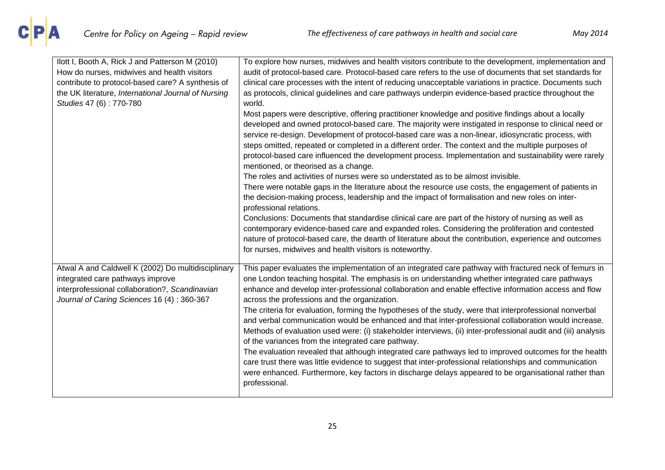| llott I, Booth A, Rick J and Patterson M (2010)<br>How do nurses, midwives and health visitors<br>contribute to protocol-based care? A synthesis of<br>the UK literature, International Journal of Nursing<br>Studies 47 (6): 770-780 | To explore how nurses, midwives and health visitors contribute to the development, implementation and<br>audit of protocol-based care. Protocol-based care refers to the use of documents that set standards for<br>clinical care processes with the intent of reducing unacceptable variations in practice. Documents such<br>as protocols, clinical guidelines and care pathways underpin evidence-based practice throughout the<br>world.<br>Most papers were descriptive, offering practitioner knowledge and positive findings about a locally<br>developed and owned protocol-based care. The majority were instigated in response to clinical need or<br>service re-design. Development of protocol-based care was a non-linear, idiosyncratic process, with<br>steps omitted, repeated or completed in a different order. The context and the multiple purposes of<br>protocol-based care influenced the development process. Implementation and sustainability were rarely<br>mentioned, or theorised as a change.<br>The roles and activities of nurses were so understated as to be almost invisible.<br>There were notable gaps in the literature about the resource use costs, the engagement of patients in<br>the decision-making process, leadership and the impact of formalisation and new roles on inter-<br>professional relations.<br>Conclusions: Documents that standardise clinical care are part of the history of nursing as well as<br>contemporary evidence-based care and expanded roles. Considering the proliferation and contested |
|---------------------------------------------------------------------------------------------------------------------------------------------------------------------------------------------------------------------------------------|--------------------------------------------------------------------------------------------------------------------------------------------------------------------------------------------------------------------------------------------------------------------------------------------------------------------------------------------------------------------------------------------------------------------------------------------------------------------------------------------------------------------------------------------------------------------------------------------------------------------------------------------------------------------------------------------------------------------------------------------------------------------------------------------------------------------------------------------------------------------------------------------------------------------------------------------------------------------------------------------------------------------------------------------------------------------------------------------------------------------------------------------------------------------------------------------------------------------------------------------------------------------------------------------------------------------------------------------------------------------------------------------------------------------------------------------------------------------------------------------------------------------------------------------------------------------|
| Atwal A and Caldwell K (2002) Do multidisciplinary<br>integrated care pathways improve<br>interprofessional collaboration?, Scandinavian<br>Journal of Caring Sciences 16 (4): 360-367                                                | nature of protocol-based care, the dearth of literature about the contribution, experience and outcomes<br>for nurses, midwives and health visitors is noteworthy.<br>This paper evaluates the implementation of an integrated care pathway with fractured neck of femurs in<br>one London teaching hospital. The emphasis is on understanding whether integrated care pathways<br>enhance and develop inter-professional collaboration and enable effective information access and flow<br>across the professions and the organization.<br>The criteria for evaluation, forming the hypotheses of the study, were that interprofessional nonverbal<br>and verbal communication would be enhanced and that inter-professional collaboration would increase.<br>Methods of evaluation used were: (i) stakeholder interviews, (ii) inter-professional audit and (iii) analysis<br>of the variances from the integrated care pathway.<br>The evaluation revealed that although integrated care pathways led to improved outcomes for the health<br>care trust there was little evidence to suggest that inter-professional relationships and communication<br>were enhanced. Furthermore, key factors in discharge delays appeared to be organisational rather than<br>professional.                                                                                                                                                                                                                                                                                  |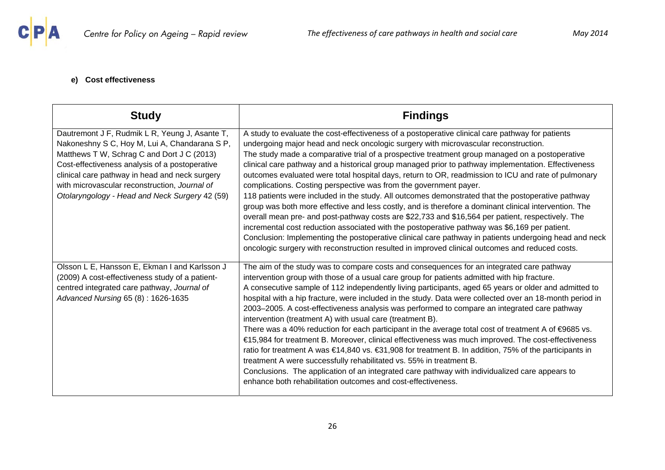

## **e) Cost effectiveness**

<span id="page-25-0"></span>

| <b>Study</b>                                                                                                                                                                                                                                                                                                                                         | <b>Findings</b>                                                                                                                                                                                                                                                                                                                                                                                                                                                                                                                                                                                                                                                                                                                                                                                                                                                                                                                                                                                                                                                                                                                                                                                              |
|------------------------------------------------------------------------------------------------------------------------------------------------------------------------------------------------------------------------------------------------------------------------------------------------------------------------------------------------------|--------------------------------------------------------------------------------------------------------------------------------------------------------------------------------------------------------------------------------------------------------------------------------------------------------------------------------------------------------------------------------------------------------------------------------------------------------------------------------------------------------------------------------------------------------------------------------------------------------------------------------------------------------------------------------------------------------------------------------------------------------------------------------------------------------------------------------------------------------------------------------------------------------------------------------------------------------------------------------------------------------------------------------------------------------------------------------------------------------------------------------------------------------------------------------------------------------------|
| Dautremont J F, Rudmik L R, Yeung J, Asante T,<br>Nakoneshny S C, Hoy M, Lui A, Chandarana S P,<br>Matthews T W, Schrag C and Dort J C (2013)<br>Cost-effectiveness analysis of a postoperative<br>clinical care pathway in head and neck surgery<br>with microvascular reconstruction, Journal of<br>Otolaryngology - Head and Neck Surgery 42 (59) | A study to evaluate the cost-effectiveness of a postoperative clinical care pathway for patients<br>undergoing major head and neck oncologic surgery with microvascular reconstruction.<br>The study made a comparative trial of a prospective treatment group managed on a postoperative<br>clinical care pathway and a historical group managed prior to pathway implementation. Effectiveness<br>outcomes evaluated were total hospital days, return to OR, readmission to ICU and rate of pulmonary<br>complications. Costing perspective was from the government payer.<br>118 patients were included in the study. All outcomes demonstrated that the postoperative pathway<br>group was both more effective and less costly, and is therefore a dominant clinical intervention. The<br>overall mean pre- and post-pathway costs are \$22,733 and \$16,564 per patient, respectively. The<br>incremental cost reduction associated with the postoperative pathway was \$6,169 per patient.<br>Conclusion: Implementing the postoperative clinical care pathway in patients undergoing head and neck<br>oncologic surgery with reconstruction resulted in improved clinical outcomes and reduced costs. |
| Olsson L E, Hansson E, Ekman I and Karlsson J<br>(2009) A cost-effectiveness study of a patient-<br>centred integrated care pathway, Journal of<br>Advanced Nursing 65 (8): 1626-1635                                                                                                                                                                | The aim of the study was to compare costs and consequences for an integrated care pathway<br>intervention group with those of a usual care group for patients admitted with hip fracture.<br>A consecutive sample of 112 independently living participants, aged 65 years or older and admitted to<br>hospital with a hip fracture, were included in the study. Data were collected over an 18-month period in<br>2003–2005. A cost-effectiveness analysis was performed to compare an integrated care pathway<br>intervention (treatment A) with usual care (treatment B).<br>There was a 40% reduction for each participant in the average total cost of treatment A of $\epsilon$ 9685 vs.<br>€15,984 for treatment B. Moreover, clinical effectiveness was much improved. The cost-effectiveness<br>ratio for treatment A was €14,840 vs. €31,908 for treatment B. In addition, 75% of the participants in<br>treatment A were successfully rehabilitated vs. 55% in treatment B.<br>Conclusions. The application of an integrated care pathway with individualized care appears to<br>enhance both rehabilitation outcomes and cost-effectiveness.                                                      |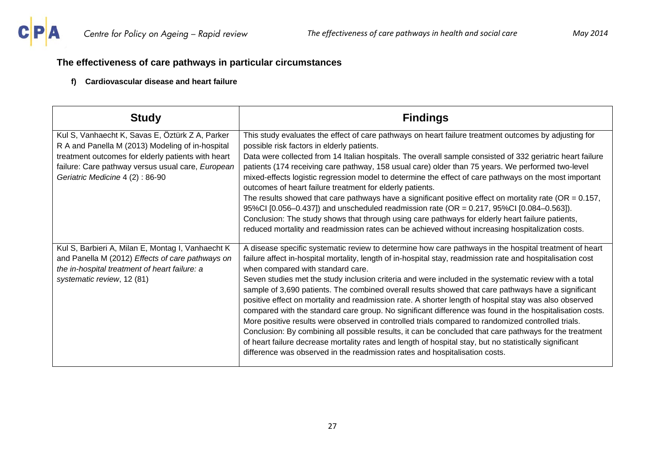

## <span id="page-26-0"></span>**The effectiveness of care pathways in particular circumstances**

### **f) Cardiovascular disease and heart failure**

| <b>Study</b>                                                                                                                                                                                                                                      | <b>Findings</b>                                                                                                                                                                                                                                                                                                                                                                                                                                                                                                                                                                                                                                                                                                                                                                                                                                                                                                                                                                                                                                                                                              |
|---------------------------------------------------------------------------------------------------------------------------------------------------------------------------------------------------------------------------------------------------|--------------------------------------------------------------------------------------------------------------------------------------------------------------------------------------------------------------------------------------------------------------------------------------------------------------------------------------------------------------------------------------------------------------------------------------------------------------------------------------------------------------------------------------------------------------------------------------------------------------------------------------------------------------------------------------------------------------------------------------------------------------------------------------------------------------------------------------------------------------------------------------------------------------------------------------------------------------------------------------------------------------------------------------------------------------------------------------------------------------|
| Kul S, Vanhaecht K, Savas E, Öztürk Z A, Parker<br>R A and Panella M (2013) Modeling of in-hospital<br>treatment outcomes for elderly patients with heart<br>failure: Care pathway versus usual care, European<br>Geriatric Medicine 4 (2): 86-90 | This study evaluates the effect of care pathways on heart failure treatment outcomes by adjusting for<br>possible risk factors in elderly patients.<br>Data were collected from 14 Italian hospitals. The overall sample consisted of 332 geriatric heart failure<br>patients (174 receiving care pathway, 158 usual care) older than 75 years. We performed two-level<br>mixed-effects logistic regression model to determine the effect of care pathways on the most important<br>outcomes of heart failure treatment for elderly patients.                                                                                                                                                                                                                                                                                                                                                                                                                                                                                                                                                                |
|                                                                                                                                                                                                                                                   | The results showed that care pathways have a significant positive effect on mortality rate ( $OR = 0.157$ ,<br>95%CI [0.056-0.437]) and unscheduled readmission rate (OR = 0.217, 95%CI [0.084-0.563]).<br>Conclusion: The study shows that through using care pathways for elderly heart failure patients,<br>reduced mortality and readmission rates can be achieved without increasing hospitalization costs.                                                                                                                                                                                                                                                                                                                                                                                                                                                                                                                                                                                                                                                                                             |
| Kul S, Barbieri A, Milan E, Montag I, Vanhaecht K<br>and Panella M (2012) Effects of care pathways on<br>the in-hospital treatment of heart failure: a<br>systematic review, 12 (81)                                                              | A disease specific systematic review to determine how care pathways in the hospital treatment of heart<br>failure affect in-hospital mortality, length of in-hospital stay, readmission rate and hospitalisation cost<br>when compared with standard care.<br>Seven studies met the study inclusion criteria and were included in the systematic review with a total<br>sample of 3,690 patients. The combined overall results showed that care pathways have a significant<br>positive effect on mortality and readmission rate. A shorter length of hospital stay was also observed<br>compared with the standard care group. No significant difference was found in the hospitalisation costs.<br>More positive results were observed in controlled trials compared to randomized controlled trials.<br>Conclusion: By combining all possible results, it can be concluded that care pathways for the treatment<br>of heart failure decrease mortality rates and length of hospital stay, but no statistically significant<br>difference was observed in the readmission rates and hospitalisation costs. |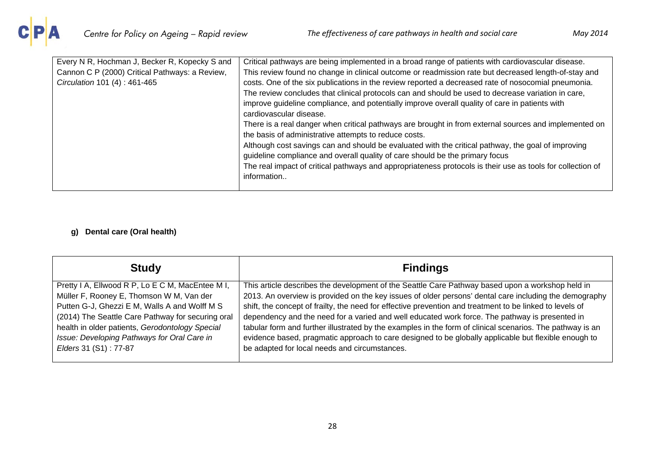| Every N R, Hochman J, Becker R, Kopecky S and  | Critical pathways are being implemented in a broad range of patients with cardiovascular disease.          |
|------------------------------------------------|------------------------------------------------------------------------------------------------------------|
| Cannon C P (2000) Critical Pathways: a Review, | This review found no change in clinical outcome or readmission rate but decreased length-of-stay and       |
| Circulation 101 (4): 461-465                   | costs. One of the six publications in the review reported a decreased rate of nosocomial pneumonia.        |
|                                                | The review concludes that clinical protocols can and should be used to decrease variation in care,         |
|                                                | improve guideline compliance, and potentially improve overall quality of care in patients with             |
|                                                | cardiovascular disease.                                                                                    |
|                                                | There is a real danger when critical pathways are brought in from external sources and implemented on      |
|                                                | the basis of administrative attempts to reduce costs.                                                      |
|                                                | Although cost savings can and should be evaluated with the critical pathway, the goal of improving         |
|                                                | guideline compliance and overall quality of care should be the primary focus                               |
|                                                | The real impact of critical pathways and appropriateness protocols is their use as tools for collection of |
|                                                | information                                                                                                |
|                                                |                                                                                                            |

## **g) Dental care (Oral health)**

<span id="page-27-0"></span>

| <b>Study</b>                                      | <b>Findings</b>                                                                                           |
|---------------------------------------------------|-----------------------------------------------------------------------------------------------------------|
| Pretty I A, Ellwood R P, Lo E C M, MacEntee M I,  | This article describes the development of the Seattle Care Pathway based upon a workshop held in          |
| Müller F, Rooney E, Thomson W M, Van der          | 2013. An overview is provided on the key issues of older persons' dental care including the demography    |
| Putten G-J, Ghezzi E M, Walls A and Wolff M S     | shift, the concept of frailty, the need for effective prevention and treatment to be linked to levels of  |
| (2014) The Seattle Care Pathway for securing oral | dependency and the need for a varied and well educated work force. The pathway is presented in            |
| health in older patients, Gerodontology Special   | tabular form and further illustrated by the examples in the form of clinical scenarios. The pathway is an |
| Issue: Developing Pathways for Oral Care in       | evidence based, pragmatic approach to care designed to be globally applicable but flexible enough to      |
| Elders 31 (S1): 77-87                             | be adapted for local needs and circumstances.                                                             |
|                                                   |                                                                                                           |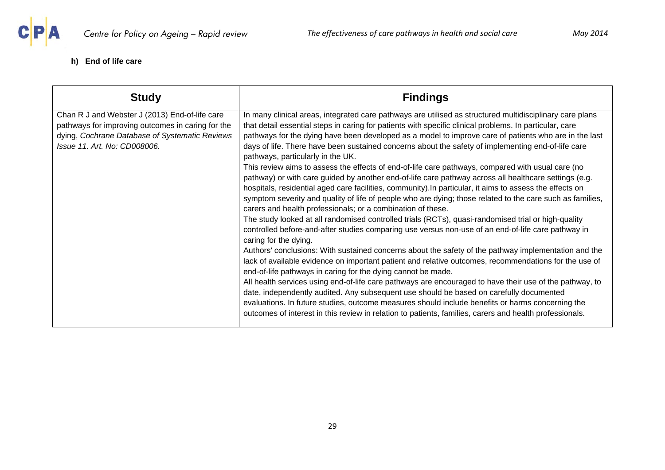<span id="page-28-0"></span>

## **h) End of life care**

| <b>Study</b>                                                                                                                                                                          | <b>Findings</b>                                                                                                                                                                                                                                                                                                                                                                                                                                                                                                                                                                                                                                                                                                                                                                                                                                                                                                                                                                                                                                                                                                                                                                                                                                                                                                                                                                                                                                                                                                                                                                                                                                                                                                                                                                                                                                                                                                           |
|---------------------------------------------------------------------------------------------------------------------------------------------------------------------------------------|---------------------------------------------------------------------------------------------------------------------------------------------------------------------------------------------------------------------------------------------------------------------------------------------------------------------------------------------------------------------------------------------------------------------------------------------------------------------------------------------------------------------------------------------------------------------------------------------------------------------------------------------------------------------------------------------------------------------------------------------------------------------------------------------------------------------------------------------------------------------------------------------------------------------------------------------------------------------------------------------------------------------------------------------------------------------------------------------------------------------------------------------------------------------------------------------------------------------------------------------------------------------------------------------------------------------------------------------------------------------------------------------------------------------------------------------------------------------------------------------------------------------------------------------------------------------------------------------------------------------------------------------------------------------------------------------------------------------------------------------------------------------------------------------------------------------------------------------------------------------------------------------------------------------------|
| Chan R J and Webster J (2013) End-of-life care<br>pathways for improving outcomes in caring for the<br>dying, Cochrane Database of Systematic Reviews<br>Issue 11. Art. No: CD008006. | In many clinical areas, integrated care pathways are utilised as structured multidisciplinary care plans<br>that detail essential steps in caring for patients with specific clinical problems. In particular, care<br>pathways for the dying have been developed as a model to improve care of patients who are in the last<br>days of life. There have been sustained concerns about the safety of implementing end-of-life care<br>pathways, particularly in the UK.<br>This review aims to assess the effects of end-of-life care pathways, compared with usual care (no<br>pathway) or with care guided by another end-of-life care pathway across all healthcare settings (e.g.<br>hospitals, residential aged care facilities, community). In particular, it aims to assess the effects on<br>symptom severity and quality of life of people who are dying; those related to the care such as families,<br>carers and health professionals; or a combination of these.<br>The study looked at all randomised controlled trials (RCTs), quasi-randomised trial or high-quality<br>controlled before-and-after studies comparing use versus non-use of an end-of-life care pathway in<br>caring for the dying.<br>Authors' conclusions: With sustained concerns about the safety of the pathway implementation and the<br>lack of available evidence on important patient and relative outcomes, recommendations for the use of<br>end-of-life pathways in caring for the dying cannot be made.<br>All health services using end-of-life care pathways are encouraged to have their use of the pathway, to<br>date, independently audited. Any subsequent use should be based on carefully documented<br>evaluations. In future studies, outcome measures should include benefits or harms concerning the<br>outcomes of interest in this review in relation to patients, families, carers and health professionals. |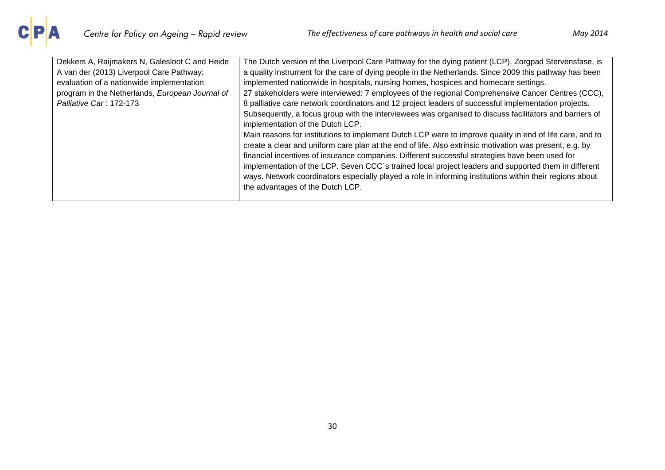

| Dekkers A, Raijmakers N, Galesloot C and Heide  | The Dutch version of the Liverpool Care Pathway for the dying patient (LCP), Zorgpad Stervensfase, is    |
|-------------------------------------------------|----------------------------------------------------------------------------------------------------------|
| A van der (2013) Liverpool Care Pathway:        | a quality instrument for the care of dying people in the Netherlands. Since 2009 this pathway has been   |
| evaluation of a nationwide implementation       | implemented nationwide in hospitals, nursing homes, hospices and homecare settings.                      |
| program in the Netherlands, European Journal of | 27 stakeholders were interviewed: 7 employees of the regional Comprehensive Cancer Centres (CCC),        |
| Palliative Car: 172-173                         | 8 palliative care network coordinators and 12 project leaders of successful implementation projects.     |
|                                                 | Subsequently, a focus group with the interviewees was organised to discuss facilitators and barriers of  |
|                                                 | implementation of the Dutch LCP.                                                                         |
|                                                 | Main reasons for institutions to implement Dutch LCP were to improve quality in end of life care, and to |
|                                                 | create a clear and uniform care plan at the end of life. Also extrinsic motivation was present, e.g. by  |
|                                                 | financial incentives of insurance companies. Different successful strategies have been used for          |
|                                                 | implementation of the LCP. Seven CCC's trained local project leaders and supported them in different     |
|                                                 | ways. Network coordinators especially played a role in informing institutions within their regions about |
|                                                 | the advantages of the Dutch LCP.                                                                         |
|                                                 |                                                                                                          |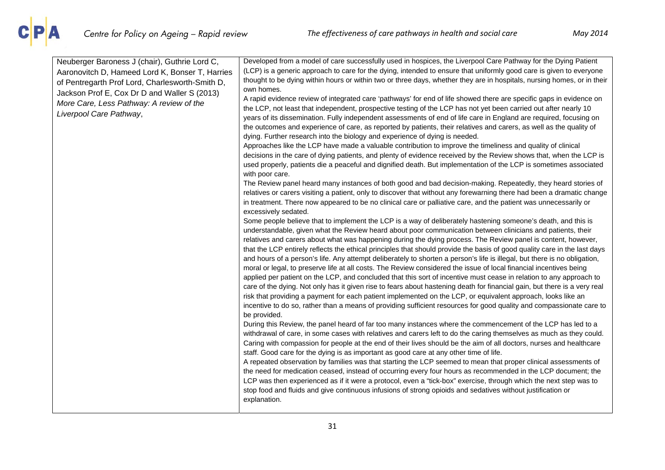| Neuberger Baroness J (chair), Guthrie Lord C,   | Developed from a model of care successfully used in hospices, the Liverpool Care Pathway for the Dying Patient            |
|-------------------------------------------------|---------------------------------------------------------------------------------------------------------------------------|
| Aaronovitch D, Hameed Lord K, Bonser T, Harries | (LCP) is a generic approach to care for the dying, intended to ensure that uniformly good care is given to everyone       |
| of Pentregarth Prof Lord, Charlesworth-Smith D, | thought to be dying within hours or within two or three days, whether they are in hospitals, nursing homes, or in their   |
| Jackson Prof E, Cox Dr D and Waller S (2013)    | own homes.                                                                                                                |
|                                                 | A rapid evidence review of integrated care 'pathways' for end of life showed there are specific gaps in evidence on       |
| More Care, Less Pathway: A review of the        | the LCP, not least that independent, prospective testing of the LCP has not yet been carried out after nearly 10          |
| Liverpool Care Pathway,                         | years of its dissemination. Fully independent assessments of end of life care in England are required, focusing on        |
|                                                 | the outcomes and experience of care, as reported by patients, their relatives and carers, as well as the quality of       |
|                                                 | dying. Further research into the biology and experience of dying is needed.                                               |
|                                                 | Approaches like the LCP have made a valuable contribution to improve the timeliness and quality of clinical               |
|                                                 | decisions in the care of dying patients, and plenty of evidence received by the Review shows that, when the LCP is        |
|                                                 | used properly, patients die a peaceful and dignified death. But implementation of the LCP is sometimes associated         |
|                                                 | with poor care.                                                                                                           |
|                                                 | The Review panel heard many instances of both good and bad decision-making. Repeatedly, they heard stories of             |
|                                                 | relatives or carers visiting a patient, only to discover that without any forewarning there had been a dramatic change    |
|                                                 | in treatment. There now appeared to be no clinical care or palliative care, and the patient was unnecessarily or          |
|                                                 | excessively sedated.                                                                                                      |
|                                                 | Some people believe that to implement the LCP is a way of deliberately hastening someone's death, and this is             |
|                                                 | understandable, given what the Review heard about poor communication between clinicians and patients, their               |
|                                                 | relatives and carers about what was happening during the dying process. The Review panel is content, however,             |
|                                                 | that the LCP entirely reflects the ethical principles that should provide the basis of good quality care in the last days |
|                                                 | and hours of a person's life. Any attempt deliberately to shorten a person's life is illegal, but there is no obligation, |
|                                                 | moral or legal, to preserve life at all costs. The Review considered the issue of local financial incentives being        |
|                                                 | applied per patient on the LCP, and concluded that this sort of incentive must cease in relation to any approach to       |
|                                                 | care of the dying. Not only has it given rise to fears about hastening death for financial gain, but there is a very real |
|                                                 | risk that providing a payment for each patient implemented on the LCP, or equivalent approach, looks like an              |
|                                                 | incentive to do so, rather than a means of providing sufficient resources for good quality and compassionate care to      |
|                                                 | be provided.                                                                                                              |
|                                                 | During this Review, the panel heard of far too many instances where the commencement of the LCP has led to a              |
|                                                 | withdrawal of care, in some cases with relatives and carers left to do the caring themselves as much as they could.       |
|                                                 | Caring with compassion for people at the end of their lives should be the aim of all doctors, nurses and healthcare       |
|                                                 | staff. Good care for the dying is as important as good care at any other time of life.                                    |
|                                                 | A repeated observation by families was that starting the LCP seemed to mean that proper clinical assessments of           |
|                                                 |                                                                                                                           |
|                                                 | the need for medication ceased, instead of occurring every four hours as recommended in the LCP document; the             |
|                                                 | LCP was then experienced as if it were a protocol, even a "tick-box" exercise, through which the next step was to         |
|                                                 | stop food and fluids and give continuous infusions of strong opioids and sedatives without justification or               |
|                                                 | explanation.                                                                                                              |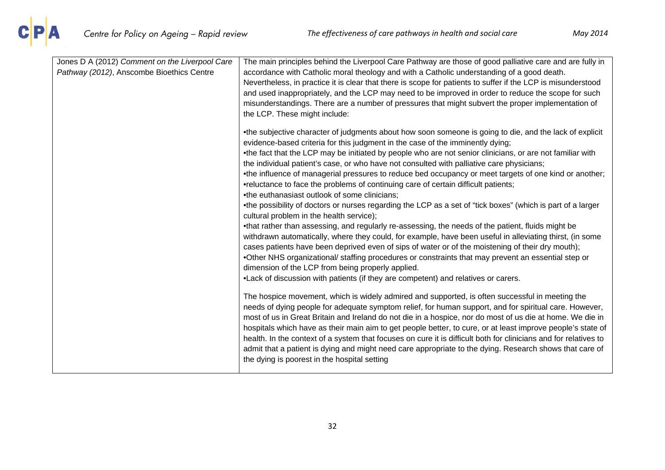

| Jones D A (2012) Comment on the Liverpool Care | The main principles behind the Liverpool Care Pathway are those of good palliative care and are fully in         |
|------------------------------------------------|------------------------------------------------------------------------------------------------------------------|
| Pathway (2012), Anscombe Bioethics Centre      | accordance with Catholic moral theology and with a Catholic understanding of a good death.                       |
|                                                | Nevertheless, in practice it is clear that there is scope for patients to suffer if the LCP is misunderstood     |
|                                                | and used inappropriately, and the LCP may need to be improved in order to reduce the scope for such              |
|                                                | misunderstandings. There are a number of pressures that might subvert the proper implementation of               |
|                                                | the LCP. These might include:                                                                                    |
|                                                | •the subjective character of judgments about how soon someone is going to die, and the lack of explicit          |
|                                                | evidence-based criteria for this judgment in the case of the imminently dying;                                   |
|                                                | •the fact that the LCP may be initiated by people who are not senior clinicians, or are not familiar with        |
|                                                | the individual patient's case, or who have not consulted with palliative care physicians;                        |
|                                                | •the influence of managerial pressures to reduce bed occupancy or meet targets of one kind or another;           |
|                                                | •reluctance to face the problems of continuing care of certain difficult patients;                               |
|                                                | •the euthanasiast outlook of some clinicians;                                                                    |
|                                                | •the possibility of doctors or nurses regarding the LCP as a set of "tick boxes" (which is part of a larger      |
|                                                | cultural problem in the health service);                                                                         |
|                                                | •that rather than assessing, and regularly re-assessing, the needs of the patient, fluids might be               |
|                                                | withdrawn automatically, where they could, for example, have been useful in alleviating thirst, (in some         |
|                                                | cases patients have been deprived even of sips of water or of the moistening of their dry mouth);                |
|                                                | .Other NHS organizational/ staffing procedures or constraints that may prevent an essential step or              |
|                                                | dimension of the LCP from being properly applied.                                                                |
|                                                | •Lack of discussion with patients (if they are competent) and relatives or carers.                               |
|                                                | The hospice movement, which is widely admired and supported, is often successful in meeting the                  |
|                                                | needs of dying people for adequate symptom relief, for human support, and for spiritual care. However,           |
|                                                | most of us in Great Britain and Ireland do not die in a hospice, nor do most of us die at home. We die in        |
|                                                | hospitals which have as their main aim to get people better, to cure, or at least improve people's state of      |
|                                                | health. In the context of a system that focuses on cure it is difficult both for clinicians and for relatives to |
|                                                | admit that a patient is dying and might need care appropriate to the dying. Research shows that care of          |
|                                                | the dying is poorest in the hospital setting                                                                     |
|                                                |                                                                                                                  |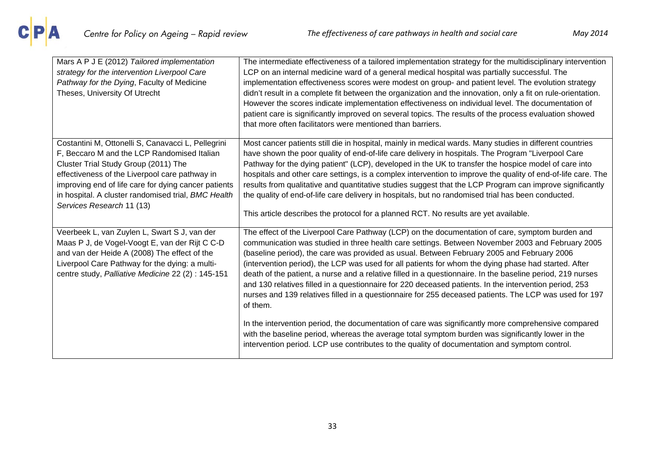| Mars A P J E (2012) Tailored implementation<br>strategy for the intervention Liverpool Care<br>Pathway for the Dying, Faculty of Medicine<br>Theses, University Of Utrecht                                                                                                                                                              | The intermediate effectiveness of a tailored implementation strategy for the multidisciplinary intervention<br>LCP on an internal medicine ward of a general medical hospital was partially successful. The<br>implementation effectiveness scores were modest on group- and patient level. The evolution strategy<br>didn't result in a complete fit between the organization and the innovation, only a fit on rule-orientation.<br>However the scores indicate implementation effectiveness on individual level. The documentation of<br>patient care is significantly improved on several topics. The results of the process evaluation showed<br>that more often facilitators were mentioned than barriers.                                                                                                                                                                                                                                                                                                                                                     |
|-----------------------------------------------------------------------------------------------------------------------------------------------------------------------------------------------------------------------------------------------------------------------------------------------------------------------------------------|----------------------------------------------------------------------------------------------------------------------------------------------------------------------------------------------------------------------------------------------------------------------------------------------------------------------------------------------------------------------------------------------------------------------------------------------------------------------------------------------------------------------------------------------------------------------------------------------------------------------------------------------------------------------------------------------------------------------------------------------------------------------------------------------------------------------------------------------------------------------------------------------------------------------------------------------------------------------------------------------------------------------------------------------------------------------|
| Costantini M, Ottonelli S, Canavacci L, Pellegrini<br>F, Beccaro M and the LCP Randomised Italian<br>Cluster Trial Study Group (2011) The<br>effectiveness of the Liverpool care pathway in<br>improving end of life care for dying cancer patients<br>in hospital. A cluster randomised trial, BMC Health<br>Services Research 11 (13) | Most cancer patients still die in hospital, mainly in medical wards. Many studies in different countries<br>have shown the poor quality of end-of-life care delivery in hospitals. The Program "Liverpool Care<br>Pathway for the dying patient" (LCP), developed in the UK to transfer the hospice model of care into<br>hospitals and other care settings, is a complex intervention to improve the quality of end-of-life care. The<br>results from qualitative and quantitative studies suggest that the LCP Program can improve significantly<br>the quality of end-of-life care delivery in hospitals, but no randomised trial has been conducted.<br>This article describes the protocol for a planned RCT. No results are yet available.                                                                                                                                                                                                                                                                                                                     |
| Veerbeek L, van Zuylen L, Swart S J, van der<br>Maas P J, de Vogel-Voogt E, van der Rijt C C-D<br>and van der Heide A (2008) The effect of the<br>Liverpool Care Pathway for the dying: a multi-<br>centre study, Palliative Medicine 22 (2) : 145-151                                                                                  | The effect of the Liverpool Care Pathway (LCP) on the documentation of care, symptom burden and<br>communication was studied in three health care settings. Between November 2003 and February 2005<br>(baseline period), the care was provided as usual. Between February 2005 and February 2006<br>(intervention period), the LCP was used for all patients for whom the dying phase had started. After<br>death of the patient, a nurse and a relative filled in a questionnaire. In the baseline period, 219 nurses<br>and 130 relatives filled in a questionnaire for 220 deceased patients. In the intervention period, 253<br>nurses and 139 relatives filled in a questionnaire for 255 deceased patients. The LCP was used for 197<br>of them.<br>In the intervention period, the documentation of care was significantly more comprehensive compared<br>with the baseline period, whereas the average total symptom burden was significantly lower in the<br>intervention period. LCP use contributes to the quality of documentation and symptom control. |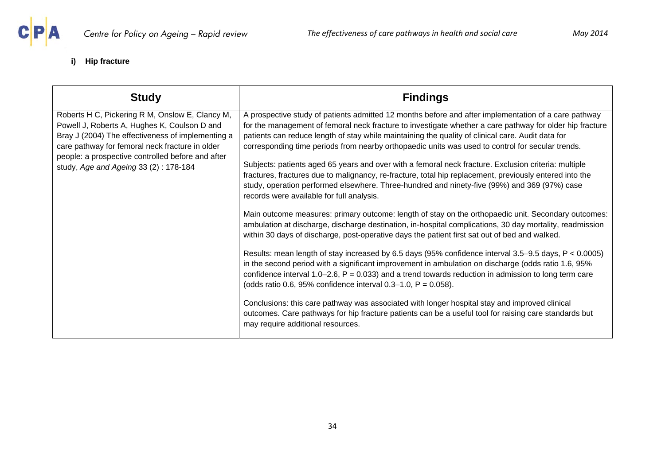<span id="page-33-0"></span>

**i) Hip fracture** 

| <b>Study</b>                                                                                                                                                                                                                                                                                          | <b>Findings</b>                                                                                                                                                                                                                                                                                                                                                                                                                                                                                                                                                                                                                                                                                                                                                                                                                                                                                                                                                                                                                                                                                                                                                                                                                                                                                                                                                                                                                                                                                                                                                                                                                                                                                                                                              |
|-------------------------------------------------------------------------------------------------------------------------------------------------------------------------------------------------------------------------------------------------------------------------------------------------------|--------------------------------------------------------------------------------------------------------------------------------------------------------------------------------------------------------------------------------------------------------------------------------------------------------------------------------------------------------------------------------------------------------------------------------------------------------------------------------------------------------------------------------------------------------------------------------------------------------------------------------------------------------------------------------------------------------------------------------------------------------------------------------------------------------------------------------------------------------------------------------------------------------------------------------------------------------------------------------------------------------------------------------------------------------------------------------------------------------------------------------------------------------------------------------------------------------------------------------------------------------------------------------------------------------------------------------------------------------------------------------------------------------------------------------------------------------------------------------------------------------------------------------------------------------------------------------------------------------------------------------------------------------------------------------------------------------------------------------------------------------------|
| Roberts H C, Pickering R M, Onslow E, Clancy M,<br>Powell J, Roberts A, Hughes K, Coulson D and<br>Bray J (2004) The effectiveness of implementing a<br>care pathway for femoral neck fracture in older<br>people: a prospective controlled before and after<br>study, Age and Ageing 33 (2): 178-184 | A prospective study of patients admitted 12 months before and after implementation of a care pathway<br>for the management of femoral neck fracture to investigate whether a care pathway for older hip fracture<br>patients can reduce length of stay while maintaining the quality of clinical care. Audit data for<br>corresponding time periods from nearby orthopaedic units was used to control for secular trends.<br>Subjects: patients aged 65 years and over with a femoral neck fracture. Exclusion criteria: multiple<br>fractures, fractures due to malignancy, re-fracture, total hip replacement, previously entered into the<br>study, operation performed elsewhere. Three-hundred and ninety-five (99%) and 369 (97%) case<br>records were available for full analysis.<br>Main outcome measures: primary outcome: length of stay on the orthopaedic unit. Secondary outcomes:<br>ambulation at discharge, discharge destination, in-hospital complications, 30 day mortality, readmission<br>within 30 days of discharge, post-operative days the patient first sat out of bed and walked.<br>Results: mean length of stay increased by 6.5 days (95% confidence interval 3.5–9.5 days, P < 0.0005)<br>in the second period with a significant improvement in ambulation on discharge (odds ratio 1.6, 95%)<br>confidence interval 1.0–2.6, $P = 0.033$ ) and a trend towards reduction in admission to long term care<br>(odds ratio 0.6, 95% confidence interval 0.3-1.0, $P = 0.058$ ).<br>Conclusions: this care pathway was associated with longer hospital stay and improved clinical<br>outcomes. Care pathways for hip fracture patients can be a useful tool for raising care standards but<br>may require additional resources. |
|                                                                                                                                                                                                                                                                                                       |                                                                                                                                                                                                                                                                                                                                                                                                                                                                                                                                                                                                                                                                                                                                                                                                                                                                                                                                                                                                                                                                                                                                                                                                                                                                                                                                                                                                                                                                                                                                                                                                                                                                                                                                                              |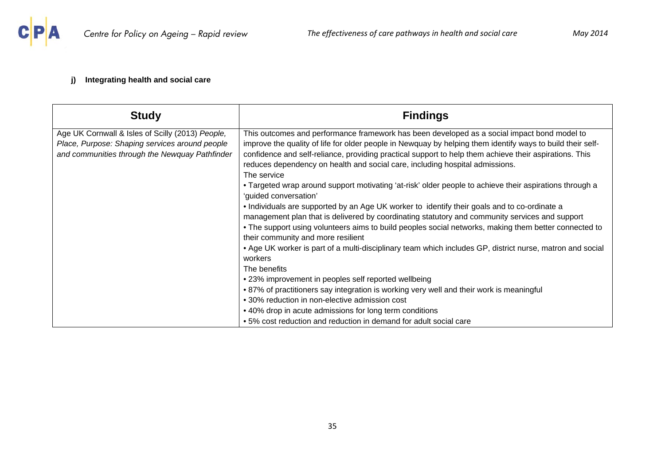

## **j) Integrating health and social care**

<span id="page-34-0"></span>

| <b>Study</b>                                     | <b>Findings</b>                                                                                            |
|--------------------------------------------------|------------------------------------------------------------------------------------------------------------|
| Age UK Cornwall & Isles of Scilly (2013) People, | This outcomes and performance framework has been developed as a social impact bond model to                |
| Place, Purpose: Shaping services around people   | improve the quality of life for older people in Newquay by helping them identify ways to build their self- |
| and communities through the Newquay Pathfinder   | confidence and self-reliance, providing practical support to help them achieve their aspirations. This     |
|                                                  | reduces dependency on health and social care, including hospital admissions.                               |
|                                                  | The service                                                                                                |
|                                                  | • Targeted wrap around support motivating 'at-risk' older people to achieve their aspirations through a    |
|                                                  | 'guided conversation'                                                                                      |
|                                                  | • Individuals are supported by an Age UK worker to identify their goals and to co-ordinate a               |
|                                                  | management plan that is delivered by coordinating statutory and community services and support             |
|                                                  | • The support using volunteers aims to build peoples social networks, making them better connected to      |
|                                                  | their community and more resilient                                                                         |
|                                                  | • Age UK worker is part of a multi-disciplinary team which includes GP, district nurse, matron and social  |
|                                                  | workers                                                                                                    |
|                                                  | The benefits                                                                                               |
|                                                  | • 23% improvement in peoples self reported wellbeing                                                       |
|                                                  | .87% of practitioners say integration is working very well and their work is meaningful                    |
|                                                  | • 30% reduction in non-elective admission cost                                                             |
|                                                  | • 40% drop in acute admissions for long term conditions                                                    |
|                                                  | • 5% cost reduction and reduction in demand for adult social care                                          |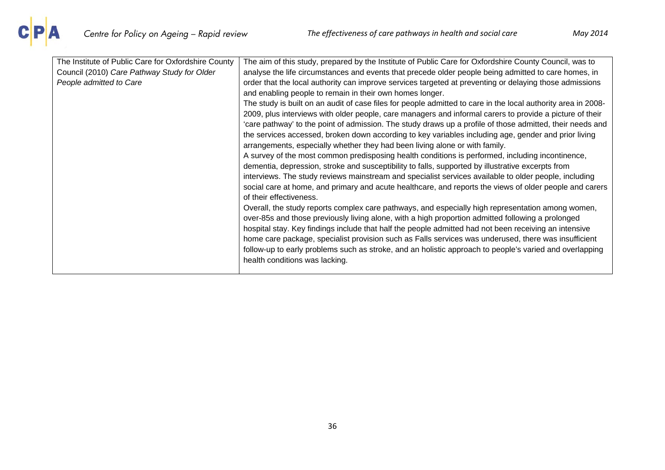

| The Institute of Public Care for Oxfordshire County | The aim of this study, prepared by the Institute of Public Care for Oxfordshire County Council, was to                                                                                                                                                                                                                                                                                                                                                                                                                                                                                                                                                                                                                                                                                                   |
|-----------------------------------------------------|----------------------------------------------------------------------------------------------------------------------------------------------------------------------------------------------------------------------------------------------------------------------------------------------------------------------------------------------------------------------------------------------------------------------------------------------------------------------------------------------------------------------------------------------------------------------------------------------------------------------------------------------------------------------------------------------------------------------------------------------------------------------------------------------------------|
| Council (2010) Care Pathway Study for Older         | analyse the life circumstances and events that precede older people being admitted to care homes, in                                                                                                                                                                                                                                                                                                                                                                                                                                                                                                                                                                                                                                                                                                     |
| People admitted to Care                             | order that the local authority can improve services targeted at preventing or delaying those admissions<br>and enabling people to remain in their own homes longer.<br>The study is built on an audit of case files for people admitted to care in the local authority area in 2008-<br>2009, plus interviews with older people, care managers and informal carers to provide a picture of their<br>'care pathway' to the point of admission. The study draws up a profile of those admitted, their needs and<br>the services accessed, broken down according to key variables including age, gender and prior living<br>arrangements, especially whether they had been living alone or with family.<br>A survey of the most common predisposing health conditions is performed, including incontinence, |
|                                                     | dementia, depression, stroke and susceptibility to falls, supported by illustrative excerpts from<br>interviews. The study reviews mainstream and specialist services available to older people, including<br>social care at home, and primary and acute healthcare, and reports the views of older people and carers<br>of their effectiveness.<br>Overall, the study reports complex care pathways, and especially high representation among women,                                                                                                                                                                                                                                                                                                                                                    |
|                                                     | over-85s and those previously living alone, with a high proportion admitted following a prolonged<br>hospital stay. Key findings include that half the people admitted had not been receiving an intensive<br>home care package, specialist provision such as Falls services was underused, there was insufficient<br>follow-up to early problems such as stroke, and an holistic approach to people's varied and overlapping<br>health conditions was lacking.                                                                                                                                                                                                                                                                                                                                          |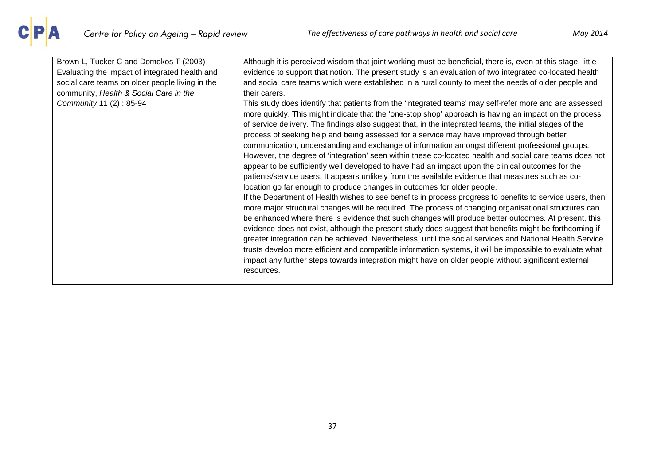| Brown L, Tucker C and Domokos T (2003)          | Although it is perceived wisdom that joint working must be beneficial, there is, even at this stage, little                                                                                                                                                                                                                                                                                                                                                                                                                                                                                                                                                                                                                                                                                                                                                                                                                                                                                                                                                                                                                                                                                                                                                                                                                                                                                                                                                                                                                                                                                                                                                                                                        |
|-------------------------------------------------|--------------------------------------------------------------------------------------------------------------------------------------------------------------------------------------------------------------------------------------------------------------------------------------------------------------------------------------------------------------------------------------------------------------------------------------------------------------------------------------------------------------------------------------------------------------------------------------------------------------------------------------------------------------------------------------------------------------------------------------------------------------------------------------------------------------------------------------------------------------------------------------------------------------------------------------------------------------------------------------------------------------------------------------------------------------------------------------------------------------------------------------------------------------------------------------------------------------------------------------------------------------------------------------------------------------------------------------------------------------------------------------------------------------------------------------------------------------------------------------------------------------------------------------------------------------------------------------------------------------------------------------------------------------------------------------------------------------------|
| Evaluating the impact of integrated health and  | evidence to support that notion. The present study is an evaluation of two integrated co-located health                                                                                                                                                                                                                                                                                                                                                                                                                                                                                                                                                                                                                                                                                                                                                                                                                                                                                                                                                                                                                                                                                                                                                                                                                                                                                                                                                                                                                                                                                                                                                                                                            |
| social care teams on older people living in the | and social care teams which were established in a rural county to meet the needs of older people and                                                                                                                                                                                                                                                                                                                                                                                                                                                                                                                                                                                                                                                                                                                                                                                                                                                                                                                                                                                                                                                                                                                                                                                                                                                                                                                                                                                                                                                                                                                                                                                                               |
| community, Health & Social Care in the          | their carers.                                                                                                                                                                                                                                                                                                                                                                                                                                                                                                                                                                                                                                                                                                                                                                                                                                                                                                                                                                                                                                                                                                                                                                                                                                                                                                                                                                                                                                                                                                                                                                                                                                                                                                      |
| Community 11 (2): 85-94                         | This study does identify that patients from the 'integrated teams' may self-refer more and are assessed<br>more quickly. This might indicate that the 'one-stop shop' approach is having an impact on the process<br>of service delivery. The findings also suggest that, in the integrated teams, the initial stages of the<br>process of seeking help and being assessed for a service may have improved through better<br>communication, understanding and exchange of information amongst different professional groups.<br>However, the degree of 'integration' seen within these co-located health and social care teams does not<br>appear to be sufficiently well developed to have had an impact upon the clinical outcomes for the<br>patients/service users. It appears unlikely from the available evidence that measures such as co-<br>location go far enough to produce changes in outcomes for older people.<br>If the Department of Health wishes to see benefits in process progress to benefits to service users, then<br>more major structural changes will be required. The process of changing organisational structures can<br>be enhanced where there is evidence that such changes will produce better outcomes. At present, this<br>evidence does not exist, although the present study does suggest that benefits might be forthcoming if<br>greater integration can be achieved. Nevertheless, until the social services and National Health Service<br>trusts develop more efficient and compatible information systems, it will be impossible to evaluate what<br>impact any further steps towards integration might have on older people without significant external<br>resources. |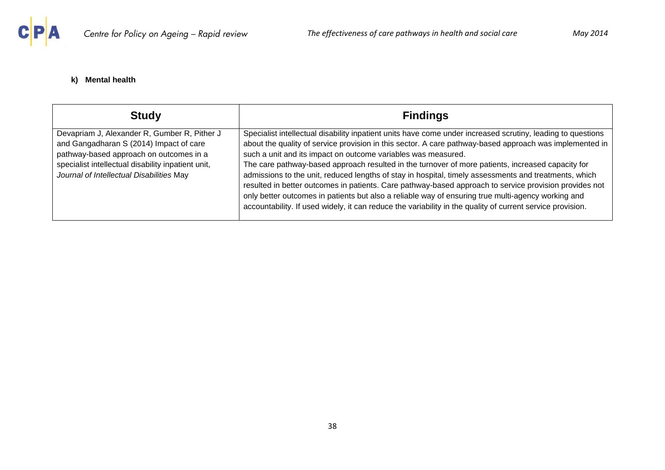

### **k) Mental health**

<span id="page-37-0"></span>

| <b>Study</b>                                                                                                                                                                                                                         | <b>Findings</b>                                                                                                                                                                                                                                                                                                                                                                                                                                                                                                                                                                                                                                                                                                                                                                                                                     |
|--------------------------------------------------------------------------------------------------------------------------------------------------------------------------------------------------------------------------------------|-------------------------------------------------------------------------------------------------------------------------------------------------------------------------------------------------------------------------------------------------------------------------------------------------------------------------------------------------------------------------------------------------------------------------------------------------------------------------------------------------------------------------------------------------------------------------------------------------------------------------------------------------------------------------------------------------------------------------------------------------------------------------------------------------------------------------------------|
| Devapriam J, Alexander R, Gumber R, Pither J<br>and Gangadharan S (2014) Impact of care<br>pathway-based approach on outcomes in a<br>specialist intellectual disability inpatient unit,<br>Journal of Intellectual Disabilities May | Specialist intellectual disability inpatient units have come under increased scrutiny, leading to questions<br>about the quality of service provision in this sector. A care pathway-based approach was implemented in<br>such a unit and its impact on outcome variables was measured.<br>The care pathway-based approach resulted in the turnover of more patients, increased capacity for<br>admissions to the unit, reduced lengths of stay in hospital, timely assessments and treatments, which<br>resulted in better outcomes in patients. Care pathway-based approach to service provision provides not<br>only better outcomes in patients but also a reliable way of ensuring true multi-agency working and<br>accountability. If used widely, it can reduce the variability in the quality of current service provision. |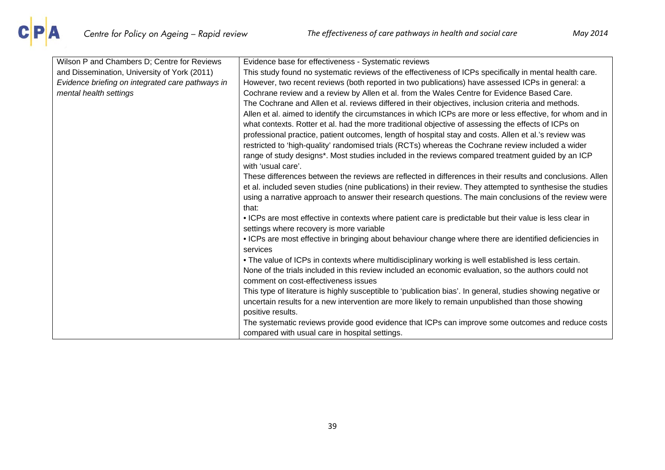| Wilson P and Chambers D; Centre for Reviews      | Evidence base for effectiveness - Systematic reviews                                                         |
|--------------------------------------------------|--------------------------------------------------------------------------------------------------------------|
| and Dissemination, University of York (2011)     | This study found no systematic reviews of the effectiveness of ICPs specifically in mental health care.      |
| Evidence briefing on integrated care pathways in | However, two recent reviews (both reported in two publications) have assessed ICPs in general: a             |
| mental health settings                           | Cochrane review and a review by Allen et al. from the Wales Centre for Evidence Based Care.                  |
|                                                  | The Cochrane and Allen et al. reviews differed in their objectives, inclusion criteria and methods.          |
|                                                  | Allen et al. aimed to identify the circumstances in which ICPs are more or less effective, for whom and in   |
|                                                  | what contexts. Rotter et al. had the more traditional objective of assessing the effects of ICPs on          |
|                                                  | professional practice, patient outcomes, length of hospital stay and costs. Allen et al.'s review was        |
|                                                  | restricted to 'high-quality' randomised trials (RCTs) whereas the Cochrane review included a wider           |
|                                                  | range of study designs*. Most studies included in the reviews compared treatment guided by an ICP            |
|                                                  | with 'usual care'.                                                                                           |
|                                                  | These differences between the reviews are reflected in differences in their results and conclusions. Allen   |
|                                                  | et al. included seven studies (nine publications) in their review. They attempted to synthesise the studies  |
|                                                  | using a narrative approach to answer their research questions. The main conclusions of the review were       |
|                                                  | that:                                                                                                        |
|                                                  | • ICPs are most effective in contexts where patient care is predictable but their value is less clear in     |
|                                                  | settings where recovery is more variable                                                                     |
|                                                  | • ICPs are most effective in bringing about behaviour change where there are identified deficiencies in      |
|                                                  | services                                                                                                     |
|                                                  | . The value of ICPs in contexts where multidisciplinary working is well established is less certain.         |
|                                                  | None of the trials included in this review included an economic evaluation, so the authors could not         |
|                                                  | comment on cost-effectiveness issues                                                                         |
|                                                  | This type of literature is highly susceptible to 'publication bias'. In general, studies showing negative or |
|                                                  | uncertain results for a new intervention are more likely to remain unpublished than those showing            |
|                                                  | positive results.                                                                                            |
|                                                  | The systematic reviews provide good evidence that ICPs can improve some outcomes and reduce costs            |
|                                                  | compared with usual care in hospital settings.                                                               |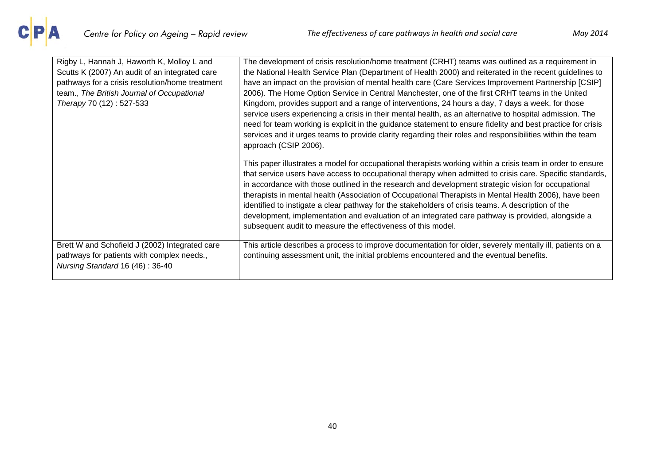| Rigby L, Hannah J, Haworth K, Molloy L and<br>Scutts K (2007) An audit of an integrated care<br>pathways for a crisis resolution/home treatment<br>team., The British Journal of Occupational<br>Therapy 70 (12): 527-533 | The development of crisis resolution/home treatment (CRHT) teams was outlined as a requirement in<br>the National Health Service Plan (Department of Health 2000) and reiterated in the recent guidelines to<br>have an impact on the provision of mental health care (Care Services Improvement Partnership [CSIP]<br>2006). The Home Option Service in Central Manchester, one of the first CRHT teams in the United<br>Kingdom, provides support and a range of interventions, 24 hours a day, 7 days a week, for those<br>service users experiencing a crisis in their mental health, as an alternative to hospital admission. The<br>need for team working is explicit in the guidance statement to ensure fidelity and best practice for crisis<br>services and it urges teams to provide clarity regarding their roles and responsibilities within the team<br>approach (CSIP 2006).<br>This paper illustrates a model for occupational therapists working within a crisis team in order to ensure |
|---------------------------------------------------------------------------------------------------------------------------------------------------------------------------------------------------------------------------|-----------------------------------------------------------------------------------------------------------------------------------------------------------------------------------------------------------------------------------------------------------------------------------------------------------------------------------------------------------------------------------------------------------------------------------------------------------------------------------------------------------------------------------------------------------------------------------------------------------------------------------------------------------------------------------------------------------------------------------------------------------------------------------------------------------------------------------------------------------------------------------------------------------------------------------------------------------------------------------------------------------|
|                                                                                                                                                                                                                           | that service users have access to occupational therapy when admitted to crisis care. Specific standards,<br>in accordance with those outlined in the research and development strategic vision for occupational<br>therapists in mental health (Association of Occupational Therapists in Mental Health 2006), have been<br>identified to instigate a clear pathway for the stakeholders of crisis teams. A description of the<br>development, implementation and evaluation of an integrated care pathway is provided, alongside a<br>subsequent audit to measure the effectiveness of this model.                                                                                                                                                                                                                                                                                                                                                                                                       |
| Brett W and Schofield J (2002) Integrated care<br>pathways for patients with complex needs.,<br>Nursing Standard 16 (46): 36-40                                                                                           | This article describes a process to improve documentation for older, severely mentally ill, patients on a<br>continuing assessment unit, the initial problems encountered and the eventual benefits.                                                                                                                                                                                                                                                                                                                                                                                                                                                                                                                                                                                                                                                                                                                                                                                                      |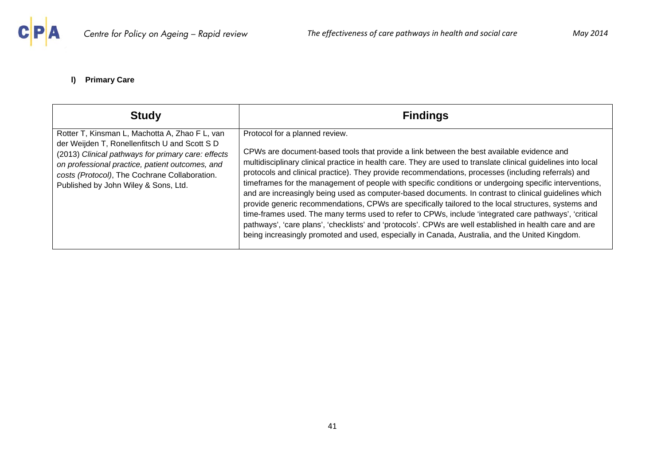

### **l) Primary Care**

<span id="page-40-0"></span>

| <b>Study</b>                                                                                                                                                                                                                                                                                      | <b>Findings</b>                                                                                                                                                                                                                                                                                                                                                                                                                                                                                                                                                                                                                                                                                                                                                                                                                                                                                                                                                                                      |
|---------------------------------------------------------------------------------------------------------------------------------------------------------------------------------------------------------------------------------------------------------------------------------------------------|------------------------------------------------------------------------------------------------------------------------------------------------------------------------------------------------------------------------------------------------------------------------------------------------------------------------------------------------------------------------------------------------------------------------------------------------------------------------------------------------------------------------------------------------------------------------------------------------------------------------------------------------------------------------------------------------------------------------------------------------------------------------------------------------------------------------------------------------------------------------------------------------------------------------------------------------------------------------------------------------------|
| Rotter T, Kinsman L, Machotta A, Zhao F L, van<br>der Weijden T, Ronellenfitsch U and Scott S D<br>(2013) Clinical pathways for primary care: effects<br>on professional practice, patient outcomes, and<br>costs (Protocol), The Cochrane Collaboration.<br>Published by John Wiley & Sons, Ltd. | Protocol for a planned review.<br>CPWs are document-based tools that provide a link between the best available evidence and<br>multidisciplinary clinical practice in health care. They are used to translate clinical guidelines into local<br>protocols and clinical practice). They provide recommendations, processes (including referrals) and<br>timeframes for the management of people with specific conditions or undergoing specific interventions,<br>and are increasingly being used as computer-based documents. In contrast to clinical guidelines which<br>provide generic recommendations, CPWs are specifically tailored to the local structures, systems and<br>time-frames used. The many terms used to refer to CPWs, include 'integrated care pathways', 'critical<br>pathways', 'care plans', 'checklists' and 'protocols'. CPWs are well established in health care and are<br>being increasingly promoted and used, especially in Canada, Australia, and the United Kingdom. |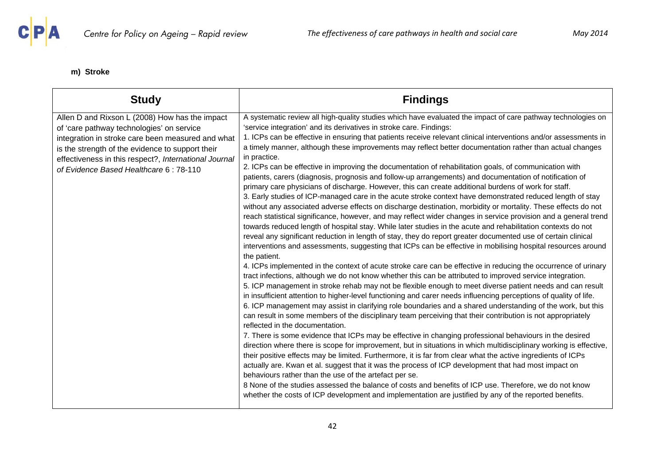<span id="page-41-0"></span>

**m) Stroke** 

| <b>Study</b>                                                                                                                                                                                                                                                                                            | <b>Findings</b>                                                                                                                                                                                                                                                                                                                                                                                                                                                                                                                                                                                                                                                                                                                                                                                                                                                                                                                                                                                                                                                                                                                                                                                                                                                                                                                                                                                                                                                                                                                                                                                                                                                                                                                                                                                                                                                                                                                                                                                                                                                                                                                                                                                                                                                                                                                                                                                                                                                                                                                                                                                                                                                                                                                                                                                                                                                                                                                                             |
|---------------------------------------------------------------------------------------------------------------------------------------------------------------------------------------------------------------------------------------------------------------------------------------------------------|-------------------------------------------------------------------------------------------------------------------------------------------------------------------------------------------------------------------------------------------------------------------------------------------------------------------------------------------------------------------------------------------------------------------------------------------------------------------------------------------------------------------------------------------------------------------------------------------------------------------------------------------------------------------------------------------------------------------------------------------------------------------------------------------------------------------------------------------------------------------------------------------------------------------------------------------------------------------------------------------------------------------------------------------------------------------------------------------------------------------------------------------------------------------------------------------------------------------------------------------------------------------------------------------------------------------------------------------------------------------------------------------------------------------------------------------------------------------------------------------------------------------------------------------------------------------------------------------------------------------------------------------------------------------------------------------------------------------------------------------------------------------------------------------------------------------------------------------------------------------------------------------------------------------------------------------------------------------------------------------------------------------------------------------------------------------------------------------------------------------------------------------------------------------------------------------------------------------------------------------------------------------------------------------------------------------------------------------------------------------------------------------------------------------------------------------------------------------------------------------------------------------------------------------------------------------------------------------------------------------------------------------------------------------------------------------------------------------------------------------------------------------------------------------------------------------------------------------------------------------------------------------------------------------------------------------------------------|
| Allen D and Rixson L (2008) How has the impact<br>of 'care pathway technologies' on service<br>integration in stroke care been measured and what<br>is the strength of the evidence to support their<br>effectiveness in this respect?, International Journal<br>of Evidence Based Healthcare 6: 78-110 | A systematic review all high-quality studies which have evaluated the impact of care pathway technologies on<br>'service integration' and its derivatives in stroke care. Findings:<br>1. ICPs can be effective in ensuring that patients receive relevant clinical interventions and/or assessments in<br>a timely manner, although these improvements may reflect better documentation rather than actual changes<br>in practice.<br>2. ICPs can be effective in improving the documentation of rehabilitation goals, of communication with<br>patients, carers (diagnosis, prognosis and follow-up arrangements) and documentation of notification of<br>primary care physicians of discharge. However, this can create additional burdens of work for staff.<br>3. Early studies of ICP-managed care in the acute stroke context have demonstrated reduced length of stay<br>without any associated adverse effects on discharge destination, morbidity or mortality. These effects do not<br>reach statistical significance, however, and may reflect wider changes in service provision and a general trend<br>towards reduced length of hospital stay. While later studies in the acute and rehabilitation contexts do not<br>reveal any significant reduction in length of stay, they do report greater documented use of certain clinical<br>interventions and assessments, suggesting that ICPs can be effective in mobilising hospital resources around<br>the patient.<br>4. ICPs implemented in the context of acute stroke care can be effective in reducing the occurrence of urinary<br>tract infections, although we do not know whether this can be attributed to improved service integration.<br>5. ICP management in stroke rehab may not be flexible enough to meet diverse patient needs and can result<br>in insufficient attention to higher-level functioning and carer needs influencing perceptions of quality of life.<br>6. ICP management may assist in clarifying role boundaries and a shared understanding of the work, but this<br>can result in some members of the disciplinary team perceiving that their contribution is not appropriately<br>reflected in the documentation.<br>7. There is some evidence that ICPs may be effective in changing professional behaviours in the desired<br>direction where there is scope for improvement, but in situations in which multidisciplinary working is effective,<br>their positive effects may be limited. Furthermore, it is far from clear what the active ingredients of ICPs<br>actually are. Kwan et al. suggest that it was the process of ICP development that had most impact on<br>behaviours rather than the use of the artefact per se.<br>8 None of the studies assessed the balance of costs and benefits of ICP use. Therefore, we do not know<br>whether the costs of ICP development and implementation are justified by any of the reported benefits. |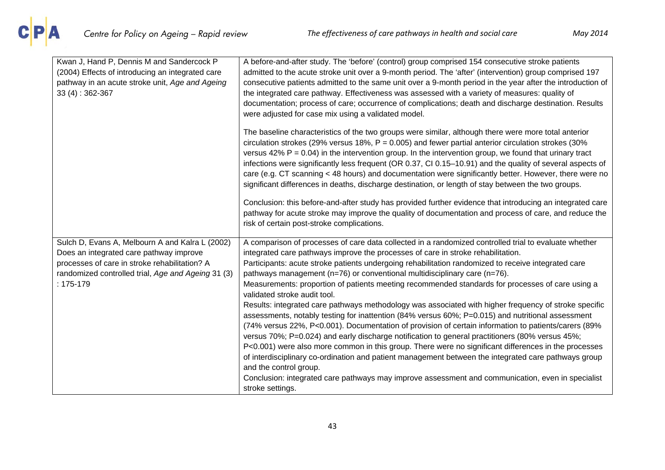| Kwan J, Hand P, Dennis M and Sandercock P<br>(2004) Effects of introducing an integrated care<br>pathway in an acute stroke unit, Age and Ageing<br>$33(4): 362-367$ | A before-and-after study. The 'before' (control) group comprised 154 consecutive stroke patients<br>admitted to the acute stroke unit over a 9-month period. The 'after' (intervention) group comprised 197<br>consecutive patients admitted to the same unit over a 9-month period in the year after the introduction of<br>the integrated care pathway. Effectiveness was assessed with a variety of measures: quality of<br>documentation; process of care; occurrence of complications; death and discharge destination. Results<br>were adjusted for case mix using a validated model.                                                                |
|----------------------------------------------------------------------------------------------------------------------------------------------------------------------|------------------------------------------------------------------------------------------------------------------------------------------------------------------------------------------------------------------------------------------------------------------------------------------------------------------------------------------------------------------------------------------------------------------------------------------------------------------------------------------------------------------------------------------------------------------------------------------------------------------------------------------------------------|
|                                                                                                                                                                      | The baseline characteristics of the two groups were similar, although there were more total anterior<br>circulation strokes (29% versus 18%, $P = 0.005$ ) and fewer partial anterior circulation strokes (30%<br>versus 42% $P = 0.04$ ) in the intervention group. In the intervention group, we found that urinary tract<br>infections were significantly less frequent (OR 0.37, CI 0.15-10.91) and the quality of several aspects of<br>care (e.g. CT scanning < 48 hours) and documentation were significantly better. However, there were no<br>significant differences in deaths, discharge destination, or length of stay between the two groups. |
|                                                                                                                                                                      | Conclusion: this before-and-after study has provided further evidence that introducing an integrated care<br>pathway for acute stroke may improve the quality of documentation and process of care, and reduce the<br>risk of certain post-stroke complications.                                                                                                                                                                                                                                                                                                                                                                                           |
| Sulch D, Evans A, Melbourn A and Kalra L (2002)                                                                                                                      | A comparison of processes of care data collected in a randomized controlled trial to evaluate whether                                                                                                                                                                                                                                                                                                                                                                                                                                                                                                                                                      |
| Does an integrated care pathway improve                                                                                                                              | integrated care pathways improve the processes of care in stroke rehabilitation.                                                                                                                                                                                                                                                                                                                                                                                                                                                                                                                                                                           |
| processes of care in stroke rehabilitation? A                                                                                                                        | Participants: acute stroke patients undergoing rehabilitation randomized to receive integrated care                                                                                                                                                                                                                                                                                                                                                                                                                                                                                                                                                        |
| randomized controlled trial, Age and Ageing 31 (3)                                                                                                                   | pathways management (n=76) or conventional multidisciplinary care (n=76).                                                                                                                                                                                                                                                                                                                                                                                                                                                                                                                                                                                  |
| $: 175 - 179$                                                                                                                                                        | Measurements: proportion of patients meeting recommended standards for processes of care using a<br>validated stroke audit tool.                                                                                                                                                                                                                                                                                                                                                                                                                                                                                                                           |
|                                                                                                                                                                      | Results: integrated care pathways methodology was associated with higher frequency of stroke specific<br>assessments, notably testing for inattention (84% versus 60%; P=0.015) and nutritional assessment                                                                                                                                                                                                                                                                                                                                                                                                                                                 |
|                                                                                                                                                                      | (74% versus 22%, P<0.001). Documentation of provision of certain information to patients/carers (89%                                                                                                                                                                                                                                                                                                                                                                                                                                                                                                                                                       |
|                                                                                                                                                                      | versus 70%; P=0.024) and early discharge notification to general practitioners (80% versus 45%;                                                                                                                                                                                                                                                                                                                                                                                                                                                                                                                                                            |
|                                                                                                                                                                      | P<0.001) were also more common in this group. There were no significant differences in the processes                                                                                                                                                                                                                                                                                                                                                                                                                                                                                                                                                       |
|                                                                                                                                                                      | of interdisciplinary co-ordination and patient management between the integrated care pathways group<br>and the control group.                                                                                                                                                                                                                                                                                                                                                                                                                                                                                                                             |
|                                                                                                                                                                      | Conclusion: integrated care pathways may improve assessment and communication, even in specialist                                                                                                                                                                                                                                                                                                                                                                                                                                                                                                                                                          |
|                                                                                                                                                                      | stroke settings.                                                                                                                                                                                                                                                                                                                                                                                                                                                                                                                                                                                                                                           |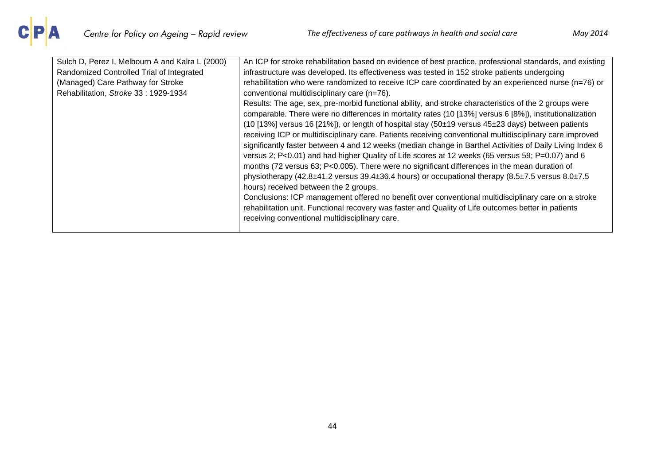

| Sulch D, Perez I, Melbourn A and Kalra L (2000) | An ICP for stroke rehabilitation based on evidence of best practice, professional standards, and existing                |
|-------------------------------------------------|--------------------------------------------------------------------------------------------------------------------------|
| Randomized Controlled Trial of Integrated       | infrastructure was developed. Its effectiveness was tested in 152 stroke patients undergoing                             |
| (Managed) Care Pathway for Stroke               | rehabilitation who were randomized to receive ICP care coordinated by an experienced nurse (n=76) or                     |
| Rehabilitation, Stroke 33: 1929-1934            | conventional multidisciplinary care (n=76).                                                                              |
|                                                 | Results: The age, sex, pre-morbid functional ability, and stroke characteristics of the 2 groups were                    |
|                                                 | comparable. There were no differences in mortality rates (10 [13%] versus 6 [8%]), institutionalization                  |
|                                                 | (10 [13%] versus 16 [21%]), or length of hospital stay (50±19 versus 45±23 days) between patients                        |
|                                                 | receiving ICP or multidisciplinary care. Patients receiving conventional multidisciplinary care improved                 |
|                                                 | significantly faster between 4 and 12 weeks (median change in Barthel Activities of Daily Living Index 6                 |
|                                                 | versus 2; P<0.01) and had higher Quality of Life scores at 12 weeks (65 versus 59; P=0.07) and 6                         |
|                                                 | months (72 versus 63; P<0.005). There were no significant differences in the mean duration of                            |
|                                                 | physiotherapy (42.8 $\pm$ 41.2 versus 39.4 $\pm$ 36.4 hours) or occupational therapy (8.5 $\pm$ 7.5 versus 8.0 $\pm$ 7.5 |
|                                                 | hours) received between the 2 groups.                                                                                    |
|                                                 | Conclusions: ICP management offered no benefit over conventional multidisciplinary care on a stroke                      |
|                                                 | rehabilitation unit. Functional recovery was faster and Quality of Life outcomes better in patients                      |
|                                                 | receiving conventional multidisciplinary care.                                                                           |
|                                                 |                                                                                                                          |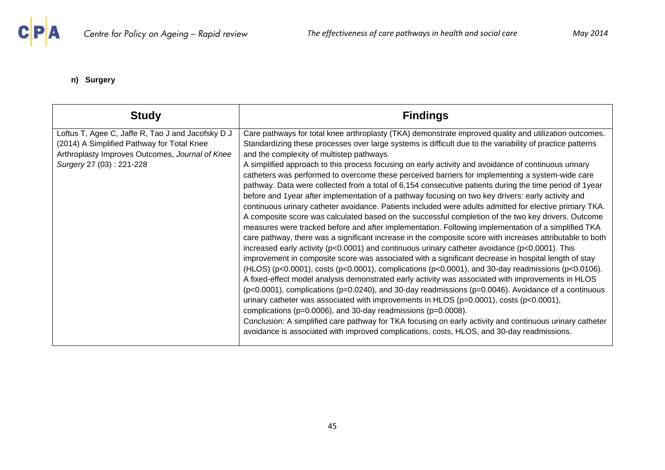

## **n) Surgery**

<span id="page-44-0"></span>

| <b>Study</b>                                                                                                                                                                   | <b>Findings</b>                                                                                                                                                                                                                                                                                                                                                                                                                                                                                                                                                                                                                                                                                                                                                                                                                                                                                                                                                                                                                                                                                                                                                                                                                                                                                                                                                                                                                                                                                                                                                                                                                                                                                                                                                                                                                                                                                                                                                                                                                                                                 |
|--------------------------------------------------------------------------------------------------------------------------------------------------------------------------------|---------------------------------------------------------------------------------------------------------------------------------------------------------------------------------------------------------------------------------------------------------------------------------------------------------------------------------------------------------------------------------------------------------------------------------------------------------------------------------------------------------------------------------------------------------------------------------------------------------------------------------------------------------------------------------------------------------------------------------------------------------------------------------------------------------------------------------------------------------------------------------------------------------------------------------------------------------------------------------------------------------------------------------------------------------------------------------------------------------------------------------------------------------------------------------------------------------------------------------------------------------------------------------------------------------------------------------------------------------------------------------------------------------------------------------------------------------------------------------------------------------------------------------------------------------------------------------------------------------------------------------------------------------------------------------------------------------------------------------------------------------------------------------------------------------------------------------------------------------------------------------------------------------------------------------------------------------------------------------------------------------------------------------------------------------------------------------|
| Loftus T, Agee C, Jaffe R, Tao J and Jacofsky D J<br>(2014) A Simplified Pathway for Total Knee<br>Arthroplasty Improves Outcomes, Journal of Knee<br>Surgery 27 (03): 221-228 | Care pathways for total knee arthroplasty (TKA) demonstrate improved quality and utilization outcomes.<br>Standardizing these processes over large systems is difficult due to the variability of practice patterns<br>and the complexity of multistep pathways.<br>A simplified approach to this process focusing on early activity and avoidance of continuous urinary<br>catheters was performed to overcome these perceived barriers for implementing a system-wide care<br>pathway. Data were collected from a total of 6,154 consecutive patients during the time period of 1year<br>before and 1year after implementation of a pathway focusing on two key drivers: early activity and<br>continuous urinary catheter avoidance. Patients included were adults admitted for elective primary TKA.<br>A composite score was calculated based on the successful completion of the two key drivers. Outcome<br>measures were tracked before and after implementation. Following implementation of a simplified TKA<br>care pathway, there was a significant increase in the composite score with increases attributable to both<br>increased early activity ( $p < 0.0001$ ) and continuous urinary catheter avoidance ( $p < 0.0001$ ). This<br>improvement in composite score was associated with a significant decrease in hospital length of stay<br>$(HLOS)$ (p<0.0001), costs (p<0.0001), complications (p<0.0001), and 30-day readmissions (p<0.0106).<br>A fixed-effect model analysis demonstrated early activity was associated with improvements in HLOS<br>$(p<0.0001)$ , complications ( $p=0.0240$ ), and 30-day readmissions ( $p=0.0046$ ). Avoidance of a continuous<br>urinary catheter was associated with improvements in HLOS ( $p=0.0001$ ), costs ( $p<0.0001$ ),<br>complications ( $p=0.0006$ ), and 30-day readmissions ( $p=0.0008$ ).<br>Conclusion: A simplified care pathway for TKA focusing on early activity and continuous urinary catheter<br>avoidance is associated with improved complications, costs, HLOS, and 30-day readmissions. |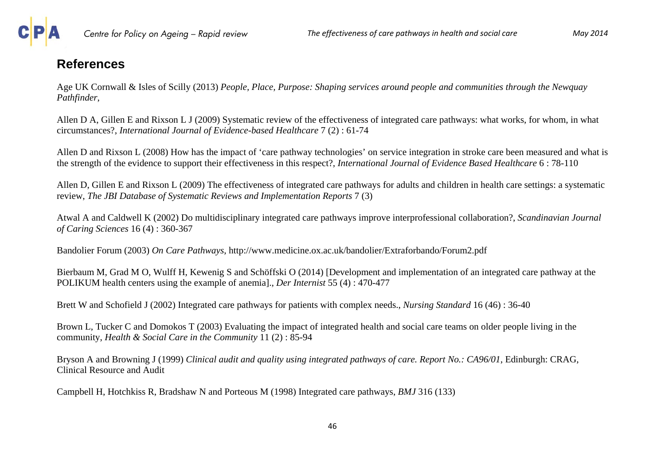<span id="page-45-0"></span>

## **References**

Age UK Cornwall & Isles of Scilly (2013) *People, Place, Purpose: Shaping services around people and communities through the Newquay Pathfinder*,

Allen D A, Gillen E and Rixson L J (2009) Systematic review of the effectiveness of integrated care pathways: what works, for whom, in what circumstances?, *International Journal of Evidence-based Healthcare* 7 (2) : 61-74

Allen D and Rixson L (2008) How has the impact of 'care pathway technologies' on service integration in stroke care been measured and what is the strength of the evidence to support their effectiveness in this respect?, *International Journal of Evidence Based Healthcare* 6 : 78-110

Allen D, Gillen E and Rixson L (2009) The effectiveness of integrated care pathways for adults and children in health care settings: a systematic review, *The JBI Database of Systematic Reviews and Implementation Reports* 7 (3)

Atwal A and Caldwell K (2002) Do multidisciplinary integrated care pathways improve interprofessional collaboration?, *Scandinavian Journal of Caring Sciences* 16 (4) : 360-367

Bandolier Forum (2003) *On Care Pathways*, http://www.medicine.ox.ac.uk/bandolier/Extraforbando/Forum2.pdf

Bierbaum M, Grad M O, Wulff H, Kewenig S and Schöffski O (2014) [Development and implementation of an integrated care pathway at the POLIKUM health centers using the example of anemia]., *Der Internist* 55 (4) : 470-477

Brett W and Schofield J (2002) Integrated care pathways for patients with complex needs., *Nursing Standard* 16 (46) : 36-40

Brown L, Tucker C and Domokos T (2003) Evaluating the impact of integrated health and social care teams on older people living in the community, *Health & Social Care in the Community* 11 (2) : 85-94

Bryson A and Browning J (1999) *Clinical audit and quality using integrated pathways of care. Report No.: CA96/01*, Edinburgh: CRAG, Clinical Resource and Audit

Campbell H, Hotchkiss R, Bradshaw N and Porteous M (1998) Integrated care pathways, *BMJ* 316 (133)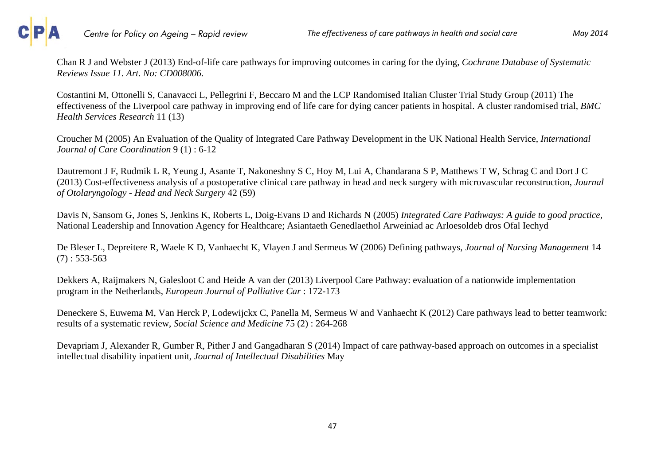

Chan R J and Webster J (2013) End-of-life care pathways for improving outcomes in caring for the dying, *Cochrane Database of Systematic Reviews Issue 11. Art. No: CD008006.*

Costantini M, Ottonelli S, Canavacci L, Pellegrini F, Beccaro M and the LCP Randomised Italian Cluster Trial Study Group (2011) The effectiveness of the Liverpool care pathway in improving end of life care for dying cancer patients in hospital. A cluster randomised trial, *BMC Health Services Research* 11 (13)

Croucher M (2005) An Evaluation of the Quality of Integrated Care Pathway Development in the UK National Health Service, *International Journal of Care Coordination* 9 (1) : 6-12

Dautremont J F, Rudmik L R, Yeung J, Asante T, Nakoneshny S C, Hoy M, Lui A, Chandarana S P, Matthews T W, Schrag C and Dort J C (2013) Cost-effectiveness analysis of a postoperative clinical care pathway in head and neck surgery with microvascular reconstruction, *Journal of Otolaryngology - Head and Neck Surgery* 42 (59)

Davis N, Sansom G, Jones S, Jenkins K, Roberts L, Doig-Evans D and Richards N (2005) *Integrated Care Pathways: A guide to good practice*, National Leadership and Innovation Agency for Healthcare; Asiantaeth Genedlaethol Arweiniad ac Arloesoldeb dros Ofal Iechyd

De Bleser L, Depreitere R, Waele K D, Vanhaecht K, Vlayen J and Sermeus W (2006) Defining pathways, *Journal of Nursing Management* 14  $(7): 553-563$ 

Dekkers A, Raijmakers N, Galesloot C and Heide A van der (2013) Liverpool Care Pathway: evaluation of a nationwide implementation program in the Netherlands, *European Journal of Palliative Car* : 172-173

Deneckere S, Euwema M, Van Herck P, Lodewijckx C, Panella M, Sermeus W and Vanhaecht K (2012) Care pathways lead to better teamwork: results of a systematic review, *Social Science and Medicine* 75 (2) : 264-268

Devapriam J, Alexander R, Gumber R, Pither J and Gangadharan S (2014) Impact of care pathway-based approach on outcomes in a specialist intellectual disability inpatient unit, *Journal of Intellectual Disabilities* May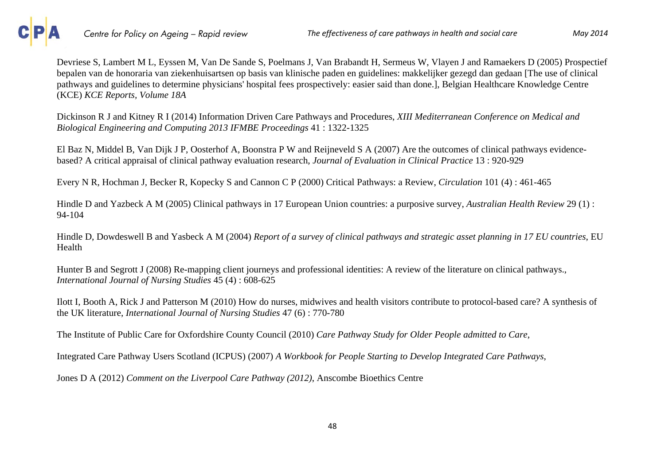

Devriese S, Lambert M L, Eyssen M, Van De Sande S, Poelmans J, Van Brabandt H, Sermeus W, Vlayen J and Ramaekers D (2005) Prospectief bepalen van de honoraria van ziekenhuisartsen op basis van klinische paden en guidelines: makkelijker gezegd dan gedaan [The use of clinical pathways and guidelines to determine physicians' hospital fees prospectively: easier said than done.], Belgian Healthcare Knowledge Centre (KCE) *KCE Reports, Volume 18A*

Dickinson R J and Kitney R I (2014) Information Driven Care Pathways and Procedures, *XIII Mediterranean Conference on Medical and Biological Engineering and Computing 2013 IFMBE Proceedings* 41 : 1322-1325

El Baz N, Middel B, Van Dijk J P, Oosterhof A, Boonstra P W and Reijneveld S A (2007) Are the outcomes of clinical pathways evidencebased? A critical appraisal of clinical pathway evaluation research, *Journal of Evaluation in Clinical Practice* 13 : 920-929

Every N R, Hochman J, Becker R, Kopecky S and Cannon C P (2000) Critical Pathways: a Review, *Circulation* 101 (4) : 461-465

Hindle D and Yazbeck A M (2005) Clinical pathways in 17 European Union countries: a purposive survey, *Australian Health Review* 29 (1) : 94-104

Hindle D, Dowdeswell B and Yasbeck A M (2004) *Report of a survey of clinical pathways and strategic asset planning in 17 EU countries*, EU Health

Hunter B and Segrott J (2008) Re-mapping client journeys and professional identities: A review of the literature on clinical pathways., *International Journal of Nursing Studies* 45 (4) : 608-625

Ilott I, Booth A, Rick J and Patterson M (2010) How do nurses, midwives and health visitors contribute to protocol-based care? A synthesis of the UK literature, *International Journal of Nursing Studies* 47 (6) : 770-780

The Institute of Public Care for Oxfordshire County Council (2010) *Care Pathway Study for Older People admitted to Care*,

Integrated Care Pathway Users Scotland (ICPUS) (2007) *A Workbook for People Starting to Develop Integrated Care Pathways*,

Jones D A (2012) *Comment on the Liverpool Care Pathway (2012)*, Anscombe Bioethics Centre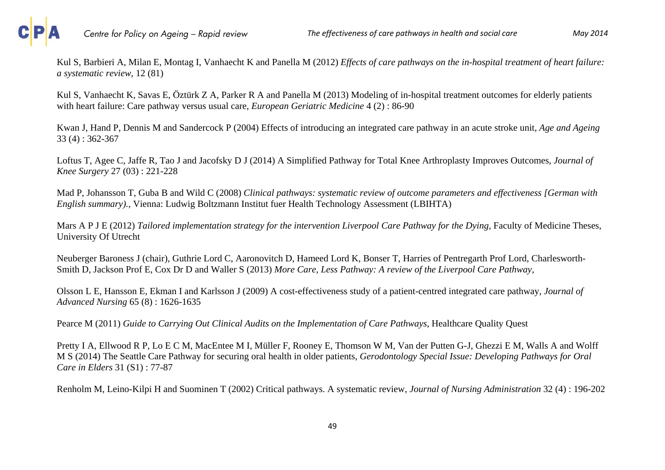

Kul S, Barbieri A, Milan E, Montag I, Vanhaecht K and Panella M (2012) *Effects of care pathways on the in-hospital treatment of heart failure: a systematic review*, 12 (81)

Kul S, Vanhaecht K, Savas E, Öztürk Z A, Parker R A and Panella M (2013) Modeling of in-hospital treatment outcomes for elderly patients with heart failure: Care pathway versus usual care, *European Geriatric Medicine* 4 (2) : 86-90

Kwan J, Hand P, Dennis M and Sandercock P (2004) Effects of introducing an integrated care pathway in an acute stroke unit, *Age and Ageing* 33 (4) : 362-367

Loftus T, Agee C, Jaffe R, Tao J and Jacofsky D J (2014) A Simplified Pathway for Total Knee Arthroplasty Improves Outcomes, *Journal of Knee Surgery* 27 (03) : 221-228

Mad P, Johansson T, Guba B and Wild C (2008) *Clinical pathways: systematic review of outcome parameters and effectiveness [German with English summary).*, Vienna: Ludwig Boltzmann Institut fuer Health Technology Assessment (LBIHTA)

Mars A P J E (2012) *Tailored implementation strategy for the intervention Liverpool Care Pathway for the Dying*, Faculty of Medicine Theses, University Of Utrecht

Neuberger Baroness J (chair), Guthrie Lord C, Aaronovitch D, Hameed Lord K, Bonser T, Harries of Pentregarth Prof Lord, Charlesworth-Smith D, Jackson Prof E, Cox Dr D and Waller S (2013) *More Care, Less Pathway: A review of the Liverpool Care Pathway*,

Olsson L E, Hansson E, Ekman I and Karlsson J (2009) A cost-effectiveness study of a patient-centred integrated care pathway, *Journal of Advanced Nursing* 65 (8) : 1626-1635

Pearce M (2011) *Guide to Carrying Out Clinical Audits on the Implementation of Care Pathways*, Healthcare Quality Quest

Pretty I A, Ellwood R P, Lo E C M, MacEntee M I, Müller F, Rooney E, Thomson W M, Van der Putten G-J, Ghezzi E M, Walls A and Wolff M S (2014) The Seattle Care Pathway for securing oral health in older patients, *Gerodontology Special Issue: Developing Pathways for Oral Care in Elders* 31 (S1) : 77-87

Renholm M, Leino-Kilpi H and Suominen T (2002) Critical pathways. A systematic review, *Journal of Nursing Administration* 32 (4) : 196-202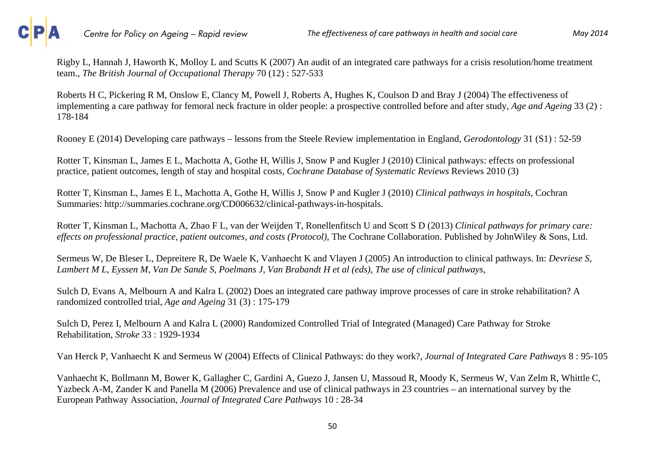

Rigby L, Hannah J, Haworth K, Molloy L and Scutts K (2007) An audit of an integrated care pathways for a crisis resolution/home treatment team., *The British Journal of Occupational Therapy* 70 (12) : 527-533

Roberts H C, Pickering R M, Onslow E, Clancy M, Powell J, Roberts A, Hughes K, Coulson D and Bray J (2004) The effectiveness of implementing a care pathway for femoral neck fracture in older people: a prospective controlled before and after study, *Age and Ageing* 33 (2) : 178-184

Rooney E (2014) Developing care pathways – lessons from the Steele Review implementation in England, *Gerodontology* 31 (S1) : 52-59

Rotter T, Kinsman L, James E L, Machotta A, Gothe H, Willis J, Snow P and Kugler J (2010) Clinical pathways: effects on professional practice, patient outcomes, length of stay and hospital costs, *Cochrane Database of Systematic Reviews* Reviews 2010 (3)

Rotter T, Kinsman L, James E L, Machotta A, Gothe H, Willis J, Snow P and Kugler J (2010) *Clinical pathways in hospitals*, Cochran Summaries: http://summaries.cochrane.org/CD006632/clinical-pathways-in-hospitals.

Rotter T, Kinsman L, Machotta A, Zhao F L, van der Weijden T, Ronellenfitsch U and Scott S D (2013) *Clinical pathways for primary care: effects on professional practice, patient outcomes, and costs (Protocol)*, The Cochrane Collaboration. Published by JohnWiley & Sons, Ltd.

Sermeus W, De Bleser L, Depreitere R, De Waele K, Vanhaecht K and Vlayen J (2005) An introduction to clinical pathways. In: *Devriese S, Lambert M L, Eyssen M, Van De Sande S, Poelmans J, Van Brabandt H et al (eds), The use of clinical pathways*,

Sulch D, Evans A, Melbourn A and Kalra L (2002) Does an integrated care pathway improve processes of care in stroke rehabilitation? A randomized controlled trial, *Age and Ageing* 31 (3) : 175-179

Sulch D, Perez I, Melbourn A and Kalra L (2000) Randomized Controlled Trial of Integrated (Managed) Care Pathway for Stroke Rehabilitation, *Stroke* 33 : 1929-1934

Van Herck P, Vanhaecht K and Sermeus W (2004) Effects of Clinical Pathways: do they work?, *Journal of Integrated Care Pathways* 8 : 95-105

Vanhaecht K, Bollmann M, Bower K, Gallagher C, Gardini A, Guezo J, Jansen U, Massoud R, Moody K, Sermeus W, Van Zelm R, Whittle C, Yazbeck A-M, Zander K and Panella M (2006) Prevalence and use of clinical pathways in 23 countries – an international survey by the European Pathway Association, *Journal of Integrated Care Pathways* 10 : 28-34